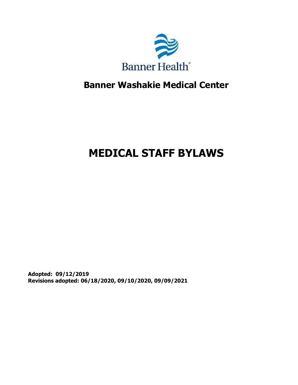

# **Banner Washakie Medical Center**

# **MEDICAL STAFF BYLAWS**

**Adopted: 09/12/2019 Revisions adopted: 06/18/2020, 09/10/2020, 09/09/2021**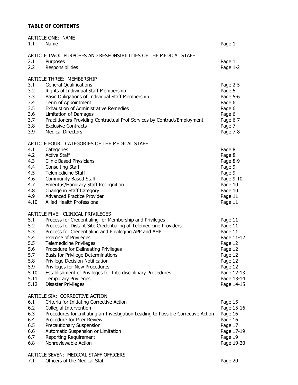# **TABLE OF CONTENTS**

| 1.1  | ARTICLE ONE: NAME<br>Name                                                        | Page 1     |
|------|----------------------------------------------------------------------------------|------------|
|      | ARTICLE TWO: PURPOSES AND RESPONSIBILITIES OF THE MEDICAL STAFF                  |            |
| 2.1  | Purposes                                                                         | Page 1     |
| 2.2  | Responsibilities                                                                 | Page 1-2   |
|      | ARTICLE THREE: MEMBERSHIP                                                        |            |
| 3.1  | <b>General Qualifications</b>                                                    | Page 2-5   |
| 3.2  | Rights of Individual Staff Membership                                            | Page 5     |
| 3.3  | Basic Obligations of Individual Staff Membership                                 | Page 5-6   |
| 3.4  | Term of Appointment                                                              | Page 6     |
| 3.5  | <b>Exhaustion of Administrative Remedies</b>                                     | Page 6     |
| 3.6  | Limitation of Damages                                                            | Page 6     |
| 3.7  | Practitioners Providing Contractual Prof Services by Contract/Employment         | Page 6-7   |
| 3.8  | <b>Exclusive Contracts</b>                                                       | Page 7     |
| 3.9  | <b>Medical Directors</b>                                                         | Page 7-8   |
|      | ARTICLE FOUR: CATEGORIES OF THE MEDICAL STAFF                                    |            |
| 4.1  | Categories                                                                       | Page 8     |
| 4.2  | <b>Active Staff</b>                                                              | Page 8     |
| 4.3  | <b>Clinic Based Physicians</b>                                                   | Page 8-9   |
| 4.4  | <b>Consulting Staff</b>                                                          | Page 9     |
| 4.5  | <b>Telemedicine Staff</b>                                                        | Page 9     |
| 4.6  | <b>Community Based Staff</b>                                                     | Page 9-10  |
| 4.7  | <b>Emeritus/Honorary Staff Recognition</b>                                       | Page 10    |
| 4.8  | Change in Staff Category                                                         | Page 10    |
| 4.9  | <b>Advanced Practice Provider</b>                                                | Page 11    |
| 4.10 | Allied Health Professional                                                       | Page 11    |
|      | ARTICLE FIVE: CLINICAL PRIVILEGES                                                |            |
| 5.1  | Process for Credentialing for Membership and Privileges                          | Page 11    |
| 5.2  | Process for Distant Site Credentialing of Telemedicine Providers                 | Page 11    |
| 5.3  | Process for Credentialing and Privileging APP and AHP                            | Page 11    |
| 5.4  | <b>Exercise of Privileges</b>                                                    | Page 11-12 |
| 5.5  | <b>Telemedicine Privileges</b>                                                   | Page 12    |
| 5.6  | Procedure for Delineating Privileges                                             | Page 12    |
| 5.7  | Basis for Privilege Determinations                                               | Page 12    |
| 5.8  | Privilege Decision Notification                                                  | Page 12    |
| 5.9  | Privileges for New Procedures                                                    | Page 12    |
| 5.10 | Establishment of Privileges for Interdisciplinary Procedures                     | Page 12-13 |
| 5.11 | <b>Temporary Privileges</b>                                                      | Page 13-14 |
| 5.12 | <b>Disaster Privileges</b>                                                       | Page 14-15 |
|      | ARTICLE SIX: CORRECTIVE ACTION                                                   |            |
| 6.1  | Criteria for Initiating Corrective Action                                        | Page 15    |
| 6.2  | Collegial Intervention                                                           | Page 15-16 |
| 6.3  | Procedures for Initiating an Investigation Leading to Possible Corrective Action | Page 16    |
| 6.4  | Procedure for Peer Review                                                        | Page 16    |
| 6.5  | Precautionary Suspension                                                         | Page 17    |
| 6.6  | Automatic Suspension or Limitation                                               | Page 17-19 |
| 6.7  | Reporting Requirement                                                            | Page 19    |
| 6.8  | Nonreviewable Action                                                             | Page 19-20 |
|      |                                                                                  |            |

# ARTICLE SEVEN: MEDICAL STAFF OFFICERS

7.1 Officers of the Medical Staff Page 20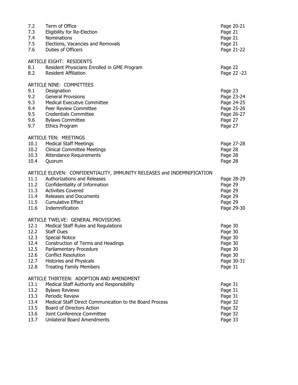| 7.2<br>7.3<br>7.4<br>7.5<br>7.6                              | Term of Office<br>Eligibility for Re-Election<br>Nominations<br>Elections, Vacancies and Removals<br>Duties of Officers                                                                                                                                                                        | Page 20-21<br>Page 21<br>Page 21<br>Page 21<br>Page 21-22                               |
|--------------------------------------------------------------|------------------------------------------------------------------------------------------------------------------------------------------------------------------------------------------------------------------------------------------------------------------------------------------------|-----------------------------------------------------------------------------------------|
| 8.1<br>8.2                                                   | <b>ARTICLE EIGHT: RESIDENTS</b><br>Resident Physicians Enrolled in GME Program<br><b>Resident Affiliation</b>                                                                                                                                                                                  | Page 22<br>Page 22 -23                                                                  |
| 9.1<br>9.2<br>9.3<br>9.4<br>9.5<br>9.6<br>9.7                | ARTICLE NINE: COMMITTEES<br>Designation<br><b>General Provisions</b><br><b>Medical Executive Committee</b><br>Peer Review Committee<br><b>Credentials Committee</b><br><b>Bylaws Committee</b><br><b>Ethics Program</b>                                                                        | Page 23<br>Page 23-24<br>Page 24-25<br>Page 25-26<br>Page 26-27<br>Page 27<br>Page 27   |
| 10.1<br>10.2<br>10.3<br>10.4                                 | <b>ARTICLE TEN: MEETINGS</b><br><b>Medical Staff Meetings</b><br><b>Clinical Committee Meetings</b><br>Attendance Requirements<br>Quorum                                                                                                                                                       | Page 27-28<br>Page 28<br>Page 28<br>Page 28                                             |
| 11.1<br>11.2<br>11.3<br>11.4<br>11.6                         | ARTICLE ELEVEN: CONFIDENTIALITY, IMMUNITY RELEASES and INDEMNIFICATION<br>Authorizations and Releases<br>Confidentiality of Information<br><b>Activities Covered</b><br>Releases and Documents<br>11.5 Cumulative Effect<br>Indemnification                                                    | Page 28-29<br>Page 29<br>Page 29<br>Page 29<br>Page 29<br>Page 29-30                    |
| 12.1<br>12.2<br>12.3<br>12.4<br>12.5<br>12.6<br>12.7<br>12.8 | ARTICLE TWELVE: GENERAL PROVISIONS<br>Medical Staff Rules and Regulations<br><b>Staff Dues</b><br><b>Special Notice</b><br>Construction of Terms and Headings<br>Parliamentary Procedure<br><b>Conflict Resolution</b><br><b>Histories and Physicals</b><br><b>Treating Family Members</b>     | Page 30<br>Page 30<br>Page 30<br>Page 30<br>Page 30<br>Page 30<br>Page 30-31<br>Page 31 |
| 13.1<br>13.2<br>13.3<br>13.4<br>13.5<br>13.6<br>13.7         | ARTICLE THIRTEEN: ADOPTION AND AMENDMENT<br>Medical Staff Authority and Responsibility<br><b>Bylaws Reviews</b><br>Periodic Review<br>Medical Staff Direct Communication to the Board Process<br>Board of Directors Action<br>Joint Conference Committee<br><b>Unilateral Board Amendments</b> | Page 31<br>Page 31<br>Page 31<br>Page 32<br>Page 32<br>Page 32<br>Page 33               |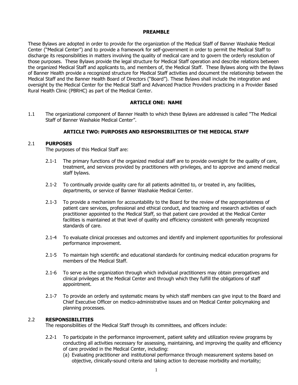#### **PREAMBLE**

These Bylaws are adopted in order to provide for the organization of the Medical Staff of Banner Washakie Medical Center ("Medical Center") and to provide a framework for self-government in order to permit the Medical Staff to discharge its responsibilities in matters involving the quality of medical care and to govern the orderly resolution of those purposes. These Bylaws provide the legal structure for Medical Staff operation and describe relations between the organized Medical Staff and applicants to, and members of, the Medical Staff. These Bylaws along with the Bylaws of Banner Health provide a recognized structure for Medical Staff activities and document the relationship between the Medical Staff and the Banner Health Board of Directors ("Board"). These Bylaws shall include the integration and oversight by the Medical Center for the Medical Staff and Advanced Practice Providers practicing in a Provider Based Rural Health Clinic (PBRHC) as part of the Medical Center.

# **ARTICLE ONE: NAME**

1.1 The organizational component of Banner Health to which these Bylaws are addressed is called "The Medical Staff of Banner Washakie Medical Center".

#### **ARTICLE TWO: PURPOSES AND RESPONSIBILITIES OF THE MEDICAL STAFF**

#### 2.1 **PURPOSES**

The purposes of this Medical Staff are:

- 2.1-1 The primary functions of the organized medical staff are to provide oversight for the quality of care, treatment, and services provided by practitioners with privileges, and to approve and amend medical staff bylaws.
- 2.1-2 To continually provide quality care for all patients admitted to, or treated in, any facilities, departments, or service of Banner Washakie Medical Center.
- 2.1-3 To provide a mechanism for accountability to the Board for the review of the appropriateness of patient care services, professional and ethical conduct, and teaching and research activities of each practitioner appointed to the Medical Staff, so that patient care provided at the Medical Center facilities is maintained at that level of quality and efficiency consistent with generally recognized standards of care.
- 2.1-4 To evaluate clinical processes and outcomes and identify and implement opportunities for professional performance improvement.
- 2.1-5 To maintain high scientific and educational standards for continuing medical education programs for members of the Medical Staff.
- 2.1-6 To serve as the organization through which individual practitioners may obtain prerogatives and clinical privileges at the Medical Center and through which they fulfill the obligations of staff appointment.
- 2.1-7 To provide an orderly and systematic means by which staff members can give input to the Board and Chief Executive Officer on medico-administrative issues and on Medical Center policymaking and planning processes.

#### 2.2 **RESPONSIBILITIES**

The responsibilities of the Medical Staff through its committees, and officers include:

- 2.2-1 To participate in the performance improvement, patient safety and utilization review programs by conducting all activities necessary for assessing, maintaining, and improving the quality and efficiency of care provided in the Medical Center, including:
	- (a) Evaluating practitioner and institutional performance through measurement systems based on objective, clinically-sound criteria and taking action to decrease morbidity and mortality;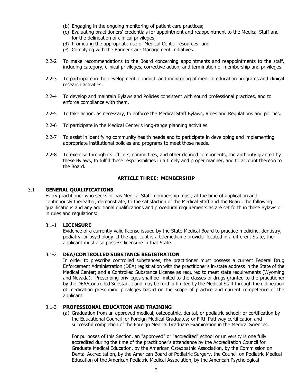- (b) Engaging in the ongoing monitoring of patient care practices;
- (c) Evaluating practitioners' credentials for appointment and reappointment to the Medical Staff and for the delineation of clinical privileges;
- (d) Promoting the appropriate use of Medical Center resources; and
- (e) Complying with the Banner Care Management Initiatives.
- 2.2-2 To make recommendations to the Board concerning appointments and reappointments to the staff, including category, clinical privileges, corrective action, and termination of membership and privileges.
- 2.2-3 To participate in the development, conduct, and monitoring of medical education programs and clinical research activities.
- 2.2-4 To develop and maintain Bylaws and Policies consistent with sound professional practices, and to enforce compliance with them.
- 2.2-5 To take action, as necessary, to enforce the Medical Staff Bylaws, Rules and Regulations and policies.
- 2.2-6 To participate in the Medical Center's long-range planning activities.
- 2.2-7 To assist in identifying community health needs and to participate in developing and implementing appropriate institutional policies and programs to meet those needs.
- 2.2-8 To exercise through its officers, committees, and other defined components, the authority granted by these Bylaws, to fulfill these responsibilities in a timely and proper manner, and to account thereon to the Board.

#### **ARTICLE THREE: MEMBERSHIP**

#### 3.1 **GENERAL QUALIFICATIONS**

Every practitioner who seeks or has Medical Staff membership must, at the time of application and continuously thereafter, demonstrate, to the satisfaction of the Medical Staff and the Board, the following qualifications and any additional qualifications and procedural requirements as are set forth in these Bylaws or in rules and regulations:

# 3.1-1 **LICENSURE**

Evidence of a currently valid license issued by the State Medical Board to practice medicine, dentistry, podiatry, or psychology. If the applicant is a telemedicine provider located in a different State, the applicant must also possess licensure in that State.

#### 3.1-2 **DEA/CONTROLLED SUBSTANCE REGISTRATION**

In order to prescribe controlled substances, the practitioner must possess a current Federal Drug Enforcement Administration (DEA) registration with the practitioner's in-state address in the State of the Medical Center; and a Controlled Substance License as required to meet state requirements (Wyoming and Nevada). Prescribing privileges shall be limited to the classes of drugs granted to the practitioner by the DEA/Controlled Substance and may be further limited by the Medical Staff through the delineation of medication prescribing privileges based on the scope of practice and current competence of the applicant.

#### 3.1-3 **PROFESSIONAL EDUCATION AND TRAINING**

(a) Graduation from an approved medical, osteopathic, dental, or podiatric school; or certification by the Educational Council for Foreign Medical Graduates; or Fifth Pathway certification and successful completion of the Foreign Medical Graduate Examination in the Medical Sciences.

For purposes of this Section, an "approved" or "accredited" school or university is one fully accredited during the time of the practitioner's attendance by the Accreditation Council for Graduate Medical Education, by the American Osteopathic Association, by the Commission on Dental Accreditation, by the American Board of Podiatric Surgery, the Council on Podiatric Medical Education of the American Podiatric Medical Association, by the American Psychological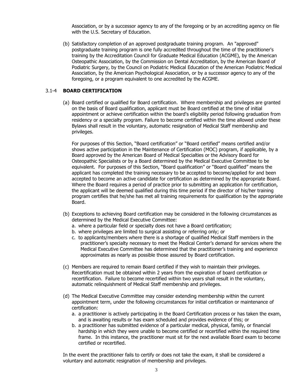Association, or by a successor agency to any of the foregoing or by an accrediting agency on file with the U.S. Secretary of Education.

(b) Satisfactory completion of an approved postgraduate training program. An "approved" postgraduate training program is one fully accredited throughout the time of the practitioner's training by the Accreditation Council for Graduate Medical Education (ACGME), by the American Osteopathic Association, by the Commission on Dental Accreditation, by the American Board of Podiatric Surgery, by the Council on Podiatric Medical Education of the American Podiatric Medical Association, by the American Psychological Association, or by a successor agency to any of the foregoing, or a program equivalent to one accredited by the ACGME.

# 3.1-4 **BOARD CERTIFICATION**

(a) Board certified or qualified for Board certification. Where membership and privileges are granted on the basis of Board qualification, applicant must be Board certified at the time of initial appointment or achieve certification within the board's eligibility period following graduation from residency or a specialty program. Failure to become certified within the time allowed under these Bylaws shall result in the voluntary, automatic resignation of Medical Staff membership and privileges.

For purposes of this Section, "Board certification" or "Board certified" means certified and/or shows active participation in the Maintenance of Certification (MOC) program, if applicable, by a Board approved by the American Board of Medical Specialties or the Advisory Board for Osteopathic Specialists or by a Board determined by the Medical Executive Committee to be equivalent. For purposes of this Section, "Board qualification" or "Board qualified" means the applicant has completed the training necessary to be accepted to become/applied for and been accepted to become an active candidate for certification as determined by the appropriate Board. Where the Board requires a period of practice prior to submitting an application for certification, the applicant will be deemed qualified during this time period if the director of his/her training program certifies that he/she has met all training requirements for qualification by the appropriate Board.

- (b) Exceptions to achieving Board certification may be considered in the following circumstances as determined by the Medical Executive Committee:
	- a. where a particular field or specialty does not have a Board certification;
	- b. where privileges are limited to surgical assisting or referring only; or
	- c. to applicants/members where there is a shortage of qualified Medical Staff members in the practitioner's specialty necessary to meet the Medical Center's demand for services where the Medical Executive Committee has determined that the practitioner's training and experience approximates as nearly as possible those assured by Board certification.
- (c) Members are required to remain Board certified if they wish to maintain their privileges. Recertification must be obtained within 2 years from the expiration of board certification or recertification. Failure to become recertified within two years shall result in the voluntary, automatic relinquishment of Medical Staff membership and privileges.
- (d) The Medical Executive Committee may consider extending membership within the current appointment term, under the following circumstances for initial certification or maintenance of certification:
	- a. a practitioner is actively participating in the Board Certification process or has taken the exam, and is awaiting results or has exam scheduled and provides evidence of this; or
	- b. a practitioner has submitted evidence of a particular medical, physical, family, or financial hardship in which they were unable to become certified or recertified within the required time frame. In this instance, the practitioner must sit for the next available Board exam to become certified or recertified.

In the event the practitioner fails to certify or does not take the exam, it shall be considered a voluntary and automatic resignation of membership and privileges.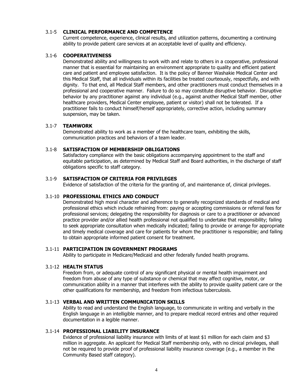#### 3.1-5 **CLINICAL PERFORMANCE AND COMPETENCE**

Current competence, experience, clinical results, and utilization patterns, documenting a continuing ability to provide patient care services at an acceptable level of quality and efficiency.

#### 3.1-6 **COOPERATIVENESS**

Demonstrated ability and willingness to work with and relate to others in a cooperative, professional manner that is essential for maintaining an environment appropriate to quality and efficient patient care and patient and employee satisfaction. It is the policy of Banner Washakie Medical Center and this Medical Staff, that all individuals within its facilities be treated courteously, respectfully, and with dignity. To that end, all Medical Staff members, and other practitioners must conduct themselves in a professional and cooperative manner. Failure to do so may constitute disruptive behavior. Disruptive behavior by any practitioner against any individual (e.g., against another Medical Staff member, other healthcare providers, Medical Center employee, patient or visitor) shall not be tolerated. If a practitioner fails to conduct himself/herself appropriately, corrective action, including summary suspension, may be taken.

#### 3.1-7 **TEAMWORK**

Demonstrated ability to work as a member of the healthcare team, exhibiting the skills, communication practices and behaviors of a team leader.

# 3.1-8 **SATISFACTION OF MEMBERSHIP OBLIGATIONS**

Satisfactory compliance with the basic obligations accompanying appointment to the staff and equitable participation, as determined by Medical Staff and Board authorities, in the discharge of staff obligations specific to staff category.

# 3.1-9 **SATISFACTION OF CRITERIA FOR PRIVILEGES**

Evidence of satisfaction of the criteria for the granting of, and maintenance of, clinical privileges.

# 3.1-10 **PROFESSIONAL ETHICS AND CONDUCT**

Demonstrated high moral character and adherence to generally recognized standards of medical and professional ethics which include refraining from: paying or accepting commissions or referral fees for professional services; delegating the responsibility for diagnosis or care to a practitioner or advanced practice provider and/or allied health professional not qualified to undertake that responsibility; failing to seek appropriate consultation when medically indicated; failing to provide or arrange for appropriate and timely medical coverage and care for patients for whom the practitioner is responsible; and failing to obtain appropriate informed patient consent for treatment.

# 3.1-11 **PARTICIPATION IN GOVERNMENT PROGRAMS**

Ability to participate in Medicare/Medicaid and other federally funded health programs.

#### 3.1-12 **HEALTH STATUS**

Freedom from, or adequate control of any significant physical or mental health impairment and freedom from abuse of any type of substance or chemical that may affect cognitive, motor, or communication ability in a manner that interferes with the ability to provide quality patient care or the other qualifications for membership, and freedom from infectious tuberculosis.

# 3.1-13 **VERBAL AND WRITTEN COMMUNICATION SKILLS**

Ability to read and understand the English language, to communicate in writing and verbally in the English language in an intelligible manner, and to prepare medical record entries and other required documentation in a legible manner.

#### 3.1-14 **PROFESSIONAL LIABILITY INSURANCE**

Evidence of professional liability insurance with limits of at least \$1 million for each claim and \$3 million in aggregate. An applicant for Medical Staff membership only, with no clinical privileges, shall not be required to provide proof of professional liability insurance coverage (e.g., a member in the Community Based staff category).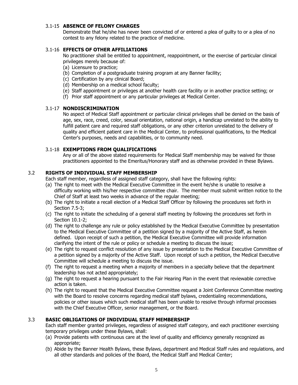# 3.1-15 **ABSENCE OF FELONY CHARGES**

Demonstrate that he/she has never been convicted of or entered a plea of guilty to or a plea of no contest to any felony related to the practice of medicine.

# 3.1-16 **EFFECTS OF OTHER AFFILIATIONS**

No practitioner shall be entitled to appointment, reappointment, or the exercise of particular clinical privileges merely because of:

- (a) Licensure to practice;
- (b) Completion of a postgraduate training program at any Banner facility;
- (c) Certification by any clinical Board;
- (d) Membership on a medical school faculty;
- (e) Staff appointment or privileges at another health care facility or in another practice setting; or
- (f) Prior staff appointment or any particular privileges at Medical Center.

#### 3.1-17 **NONDISCRIMINATION**

No aspect of Medical Staff appointment or particular clinical privileges shall be denied on the basis of age, sex, race, creed, color, sexual orientation, national origin, a handicap unrelated to the ability to fulfill patient care and required staff obligations, or any other criterion unrelated to the delivery of quality and efficient patient care in the Medical Center, to professional qualifications, to the Medical Center's purposes, needs and capabilities, or to community need.

# 3.1-18 **EXEMPTIONS FROM QUALIFICATIONS**

Any or all of the above stated requirements for Medical Staff membership may be waived for those practitioners appointed to the Emeritus/Honorary staff and as otherwise provided in these Bylaws.

# 3.2 **RIGHTS OF INDIVIDUAL STAFF MEMBERSHIP**

Each staff member, regardless of assigned staff category, shall have the following rights:

- (a) The right to meet with the Medical Executive Committee in the event he/she is unable to resolve a difficulty working with his/her respective committee chair. The member must submit written notice to the Chief of Staff at least two weeks in advance of the regular meeting;
- (b) The right to initiate a recall election of a Medical Staff Officer by following the procedures set forth in Section 7.5-3;
- (c) The right to initiate the scheduling of a general staff meeting by following the procedures set forth in Section 10.1-2;
- (d) The right to challenge any rule or policy established by the Medical Executive Committee by presentation to the Medical Executive Committee of a petition signed by a majority of the Active Staff, as herein defined. Upon receipt of such a petition, the Medical Executive Committee will provide information clarifying the intent of the rule or policy or schedule a meeting to discuss the issue;
- (e) The right to request conflict resolution of any issue by presentation to the Medical Executive Committee of a petition signed by a majority of the Active Staff. Upon receipt of such a petition, the Medical Executive Committee will schedule a meeting to discuss the issue.
- (f) The right to request a meeting when a majority of members in a specialty believe that the department leadership has not acted appropriately;
- (g) The right to request a hearing pursuant to the Fair Hearing Plan in the event that reviewable corrective action is taken.
- (h) The right to request that the Medical Executive Committee request a Joint Conference Committee meeting with the Board to resolve concerns regarding medical staff bylaws, credentialing recommendations, policies or other issues which such medical staff has been unable to resolve through informal processes with the Chief Executive Officer, senior management, or the Board.

# 3.3 **BASIC OBLIGATIONS OF INDIVIDUAL STAFF MEMBERSHIP**

Each staff member granted privileges, regardless of assigned staff category, and each practitioner exercising temporary privileges under these Bylaws, shall:

- (a) Provide patients with continuous care at the level of quality and efficiency generally recognized as appropriate;
- (b) Abide by the Banner Health Bylaws, these Bylaws, department and Medical Staff rules and regulations, and all other standards and policies of the Board, the Medical Staff and Medical Center;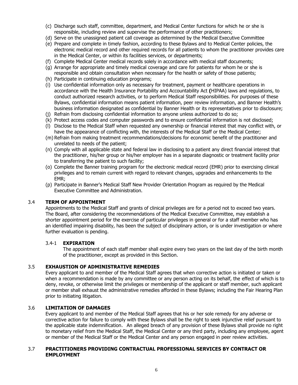- (c) Discharge such staff, committee, department, and Medical Center functions for which he or she is responsible, including review and supervise the performance of other practitioners;
- (d) Serve on the unassigned patient call coverage as determined by the Medical Executive Committee
- (e) Prepare and complete in timely fashion, according to these Bylaws and to Medical Center policies, the electronic medical record and other required records for all patients to whom the practitioner provides care in the Medical Center, or within its facilities services, or departments;
- (f) Complete Medical Center medical records solely in accordance with medical staff documents;
- (g) Arrange for appropriate and timely medical coverage and care for patients for whom he or she is responsible and obtain consultation when necessary for the health or safety of those patients;
- (h) Participate in continuing education programs;
- (i) Use confidential information only as necessary for treatment, payment or healthcare operations in accordance with the Health Insurance Portability and Accountability Act **(**HIPAA) laws and regulations, to conduct authorized research activities, or to perform Medical Staff responsibilities. For purposes of these Bylaws, confidential information means patient information, peer review information, and Banner Health's business information designated as confidential by Banner Health or its representatives prior to disclosure;
- (j) Refrain from disclosing confidential information to anyone unless authorized to do so;
- (k) Protect access codes and computer passwords and to ensure confidential information is not disclosed;
- (l) Disclose to the Medical Staff when requested any ownership or financial interest that may conflict with, or have the appearance of conflicting with, the interests of the Medical Staff or the Medical Center;
- (m) Refrain from making treatment recommendations/decisions for economic benefit of the practitioner and unrelated to needs of the patient;
- (n) Comply with all applicable state and federal law in disclosing to a patient any direct financial interest that the practitioner, his/her group or his/her employer has in a separate diagnostic or treatment facility prior to transferring the patient to such facility;
- (o) Complete the Banner training program for the electronic medical record (EMR) prior to exercising clinical privileges and to remain current with regard to relevant changes, upgrades and enhancements to the EMR;
- (p) Participate in Banner's Medical Staff New Provider Orientation Program as required by the Medical Executive Committee and Administration.

#### 3.4 **TERM OF APPOINTMENT**

Appointments to the Medical Staff and grants of clinical privileges are for a period not to exceed two years. The Board, after considering the recommendations of the Medical Executive Committee, may establish a shorter appointment period for the exercise of particular privileges in general or for a staff member who has an identified impairing disability, has been the subject of disciplinary action, or is under investigation or where further evaluation is pending.

#### 3.4-1 **EXPIRATION**

The appointment of each staff member shall expire every two years on the last day of the birth month of the practitioner, except as provided in this Section.

# 3.5 **EXHAUSTION OF ADMINISTRATIVE REMEDIES**

Every applicant to and member of the Medical Staff agrees that when corrective action is initiated or taken or when a recommendation is made by any committee or any person acting on its behalf, the effect of which is to deny, revoke, or otherwise limit the privileges or membership of the applicant or staff member, such applicant or member shall exhaust the administrative remedies afforded in these Bylaws; including the Fair Hearing Plan prior to initiating litigation.

#### 3.6 **LIMITATION OF DAMAGES**

Every applicant to and member of the Medical Staff agrees that his or her sole remedy for any adverse or corrective action for failure to comply with these Bylaws shall be the right to seek injunctive relief pursuant to the applicable state indemnification. An alleged breach of any provision of these Bylaws shall provide no right to monetary relief from the Medical Staff, the Medical Center or any third party, including any employee, agent or member of the Medical Staff or the Medical Center and any person engaged in peer review activities.

#### 3.7 **PRACTITIONERS PROVIDING CONTRACTUAL PROFESSIONAL SERVICES BY CONTRACT OR EMPLOYMENT**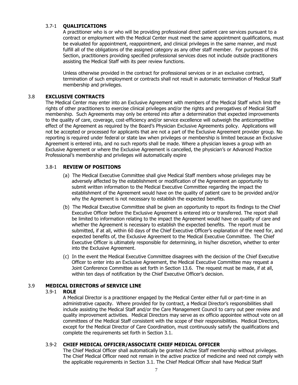# 3.7-1 **QUALIFICATIONS**

A practitioner who is or who will be providing professional direct patient care services pursuant to a contract or employment with the Medical Center must meet the same appointment qualifications, must be evaluated for appointment, reappointment, and clinical privileges in the same manner, and must fulfill all of the obligations of the assigned category as any other staff member. For purposes of this Section, practitioners providing specified professional services does not include outside practitioners assisting the Medical Staff with its peer review functions.

Unless otherwise provided in the contract for professional services or in an exclusive contract, termination of such employment or contracts shall not result in automatic termination of Medical Staff membership and privileges.

# 3.8 **EXCLUSIVE CONTRACTS**

The Medical Center may enter into an Exclusive Agreement with members of the Medical Staff which limit the rights of other practitioners to exercise clinical privileges and/or the rights and prerogatives of Medical Staff membership. Such Agreements may only be entered into after a determination that expected improvements to the quality of care, coverage, cost-efficiency and/or service excellence will outweigh the anticompetitive effect of the Agreement as required by the Board's Physician Exclusive Agreements policy. Applications will not be accepted or processed for applicants that are not a part of the Exclusive Agreement provider group. No reporting is required under federal or state law when privileges or membership is limited because an Exclusive Agreement is entered into, and no such reports shall be made. Where a physician leaves a group with an Exclusive Agreement or where the Exclusive Agreement is cancelled, the physician's or Advanced Practice Professional's membership and privileges will automatically expire

# 3.8-1 **REVIEW OF POSITIONS**

- (a) The Medical Executive Committee shall give Medical Staff members whose privileges may be adversely affected by the establishment or modification of the Agreement an opportunity to submit written information to the Medical Executive Committee regarding the impact the establishment of the Agreement would have on the quality of patient care to be provided and/or why the Agreement is not necessary to establish the expected benefits.
- (b) The Medical Executive Committee shall be given an opportunity to report its findings to the Chief Executive Officer before the Exclusive Agreement is entered into or transferred. The report shall be limited to information relating to the impact the Agreement would have on quality of care and whether the Agreement is necessary to establish the expected benefits. The report must be submitted, if at all, within 60 days of the Chief Executive Officer's explanation of the need for, and expected benefits of, the Exclusive Agreement to the Medical Executive Committee.The Chief Executive Officer is ultimately responsible for determining, in his/her discretion, whether to enter into the Exclusive Agreement.
- (c) In the event the Medical Executive Committee disagrees with the decision of the Chief Executive Officer to enter into an Exclusive Agreement, the Medical Executive Committee may request a Joint Conference Committee as set forth in Section 13.6. The request must be made, if at all, within ten days of notification by the Chief Executive Officer's decision.

# 3.9 **MEDICAL DIRECTORS of SERVICE LINE**

# 3.9-1 **ROLE**

A Medical Director is a practitioner engaged by the Medical Center either full or part-time in an administrative capacity. Where provided for by contract, a Medical Director's responsibilities shall include assisting the Medical Staff and/or the Care Management Council to carry out peer review and quality improvement activities. Medical Directors may serve as ex officio appointee without vote on all committees of the Medical Staff consistent with the scope of their responsibilities. Medical Directors, except for the Medical Director of Care Coordination, must continuously satisfy the qualifications and complete the requirements set forth in Section 3.1.

# 3.9-2 **CHIEF MEDICAL OFFICER/ASSOCIATE CHIEF MEDICAL OFFICER**

The Chief Medical Officer shall automatically be granted Active Staff membership without privileges. The Chief Medical Officer need not remain in the active practice of medicine and need not comply with the applicable requirements in Section 3.1. The Chief Medical Officer shall have Medical Staff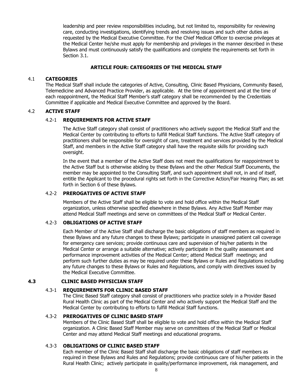leadership and peer review responsibilities including, but not limited to, responsibility for reviewing care, conducting investigations, identifying trends and resolving issues and such other duties as requested by the Medical Executive Committee. For the Chief Medical Officer to exercise privileges at the Medical Center he/she must apply for membership and privileges in the manner described in these Bylaws and must continuously satisfy the qualifications and complete the requirements set forth in Section 3.1.

# **ARTICLE FOUR: CATEGORIES OF THE MEDICAL STAFF**

#### 4.1 **CATEGORIES**

The Medical Staff shall include the categories of Active, Consulting, Clinic Based Physicians, Community Based, Telemedicine and Advanced Practice Provider, as applicable. At the time of appointment and at the time of each reappointment, the Medical Staff Member's staff category shall be recommended by the Credentials Committee if applicable and Medical Executive Committee and approved by the Board.

# 4.2 **ACTIVE STAFF**

# 4.2-1 **REQUIREMENTS FOR ACTIVE STAFF**

The Active Staff category shall consist of practitioners who actively support the Medical Staff and the Medical Center by contributing to efforts to fulfill Medical Staff functions. The Active Staff category of practitioners shall be responsible for oversight of care, treatment and services provided by the Medical Staff, and members in the Active Staff category shall have the requisite skills for providing such oversight.

In the event that a member of the Active Staff does not meet the qualifications for reappointment to the Active Staff but is otherwise abiding by these Bylaws and the other Medical Staff Documents, the member may be appointed to the Consulting Staff, and such appointment shall not, in and of itself, entitle the Applicant to the procedural rights set forth in the Corrective Action/Fair Hearing Plan; as set forth in Section 6 of these Bylaws.

#### 4.2-2 **PREROGATIVES OF ACTIVE STAFF**

Members of the Active Staff shall be eligible to vote and hold office within the Medical Staff organization, unless otherwise specified elsewhere in these Bylaws. Any Active Staff Member may attend Medical Staff meetings and serve on committees of the Medical Staff or Medical Center.

#### 4.2-3 **OBLIGATIONS OF ACTIVE STAFF**

Each Member of the Active Staff shall discharge the basic obligations of staff members as required in these Bylaws and any future changes to these Bylaws; participate in unassigned patient call coverage for emergency care services; provide continuous care and supervision of his/her patients in the Medical Center or arrange a suitable alternative; actively participate in the quality assessment and performance improvement activities of the Medical Center; attend Medical Staff meetings; and perform such further duties as may be required under these Bylaws or Rules and Regulations including any future changes to these Bylaws or Rules and Regulations, and comply with directives issued by the Medical Executive Committee.

#### **4.3 CLINIC BASED PHYSICIAN STAFF**

# 4.3-1 **REQUIREMENTS FOR CLINIC BASED STAFF**

The Clinic Based Staff category shall consist of practitioners who practice solely in a Provider Based Rural Health Clinic as part of the Medical Center and who actively support the Medical Staff and the Medical Center by contributing to efforts to fulfill Medical Staff functions.

#### 4.3-2 **PREROGATIVES OF CLINIC BASED STAFF**

Members of the Clinic Based Staff shall be eligible to vote and hold office within the Medical Staff organization. A Clinic Based Staff Member may serve on committees of the Medical Staff or Medical Center and may attend Medical Staff meetings and educational programs.

# 4.3-3 **OBLIGATIONS OF CLINIC BASED STAFF**

Each member of the Clinic Based Staff shall discharge the basic obligations of staff members as required in these Bylaws and Rules and Regulations; provide continuous care of his/her patients in the Rural Health Clinic; actively participate in quality/performance improvement, risk management, and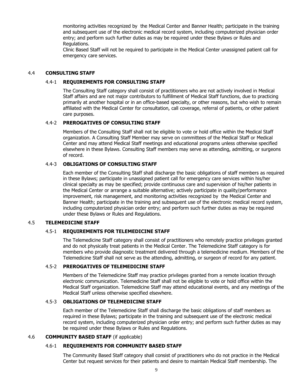monitoring activities recognized by the Medical Center and Banner Health; participate in the training and subsequent use of the electronic medical record system, including computerized physician order entry; and perform such further duties as may be required under these Bylaws or Rules and Regulations.

Clinic Based Staff will not be required to participate in the Medical Center unassigned patient call for emergency care services.

#### 4.4 **CONSULTING STAFF**

#### 4.4-1 **REQUIREMENTS FOR CONSULTING STAFF**

The Consulting Staff category shall consist of practitioners who are not actively involved in Medical Staff affairs and are not major contributors to fulfillment of Medical Staff functions, due to practicing primarily at another hospital or in an office-based specialty, or other reasons, but who wish to remain affiliated with the Medical Center for consultation, call coverage, referral of patients, or other patient care purposes.

#### 4.4-2 **PREROGATIVES OF CONSULTING STAFF**

Members of the Consulting Staff shall not be eligible to vote or hold office within the Medical Staff organization. A Consulting Staff Member may serve on committees of the Medical Staff or Medical Center and may attend Medical Staff meetings and educational programs unless otherwise specified elsewhere in these Bylaws. Consulting Staff members may serve as attending, admitting, or surgeons of record.

#### 4.4-3 **OBLIGATIONS OF CONSULTING STAFF**

Each member of the Consulting Staff shall discharge the basic obligations of staff members as required in these Bylaws; participate in unassigned patient call for emergency care services within his/her clinical specialty as may be specified; provide continuous care and supervision of his/her patients in the Medical Center or arrange a suitable alternative; actively participate in quality/performance improvement, risk management, and monitoring activities recognized by the Medical Center and Banner Health; participate in the training and subsequent use of the electronic medical record system, including computerized physician order entry; and perform such further duties as may be required under these Bylaws or Rules and Regulations.

#### 4.5 **TELEMEDICINE STAFF**

# 4.5-1 **REQUIREMENTS FOR TELEMEDICINE STAFF**

The Telemedicine Staff category shall consist of practitioners who remotely practice privileges granted and do not physically treat patients in the Medical Center. The Telemedicine Staff category is for members who provide diagnostic treatment delivered through a telemedicine medium. Members of the Telemedicine Staff shall not serve as the attending, admitting, or surgeon of record for any patient.

#### 4.5-2 **PREROGATIVES OF TELEMEDICINE STAFF**

Members of the Telemedicine Staff may practice privileges granted from a remote location through electronic communication. Telemedicine Staff shall not be eligible to vote or hold office within the Medical Staff organization. Telemedicine Staff may attend educational events, and any meetings of the Medical Staff unless otherwise specified elsewhere.

# 4.5-3 **OBLIGATIONS OF TELEMEDICINE STAFF**

Each member of the Telemedicine Staff shall discharge the basic obligations of staff members as required in these Bylaws; participate in the training and subsequent use of the electronic medical record system, including computerized physician order entry; and perform such further duties as may be required under these Bylaws or Rules and Regulations.

#### 4.6 **COMMUNITY BASED STAFF** (if applicable)

# 4.6-1 **REQUIREMENTS FOR COMMUNITY BASED STAFF**

The Community Based Staff category shall consist of practitioners who do not practice in the Medical Center but request services for their patients and desire to maintain Medical Staff membership. The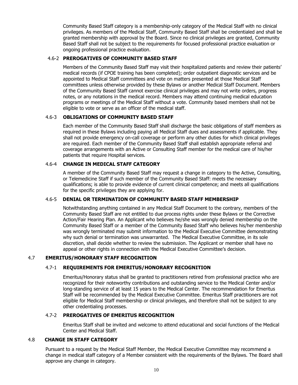Community Based Staff category is a membership-only category of the Medical Staff with no clinical privileges. As members of the Medical Staff, Community Based Staff shall be credentialed and shall be granted membership with approval by the Board. Since no clinical privileges are granted, Community Based Staff shall not be subject to the requirements for focused professional practice evaluation or ongoing professional practice evaluation.

# 4.6-2 **PREROGATIVES OF COMMUNITY BASED STAFF**

Members of the Community Based Staff may visit their hospitalized patients and review their patients' medical records (if CPOE training has been completed); order outpatient diagnostic services and be appointed to Medical Staff committees and vote on matters presented at those Medical Staff committees unless otherwise provided by these Bylaws or another Medical Staff Document. Members of the Community Based Staff cannot exercise clinical privileges and may not write orders, progress notes, or any notations in the medical record. Members may attend continuing medical education programs or meetings of the Medical Staff without a vote. Community based members shall not be eligible to vote or serve as an officer of the medical staff.

# 4.6-3 **OBLIGATIONS OF COMMUNITY BASED STAFF**

Each member of the Community Based Staff shall discharge the basic obligations of staff members as required in these Bylaws including paying all Medical Staff dues and assessments if applicable. They shall not provide emergency on-call coverage or perform any other duties for which clinical privileges are required. Each member of the Community Based Staff shall establish appropriate referral and coverage arrangements with an Active or Consulting Staff member for the medical care of his/her patients that require Hospital services.

# 4.6-4 **CHANGE IN MEDICAL STAFF CATEGORY**

A member of the Community Based Staff may request a change in category to the Active, Consulting, or Telemedicine Staff if such member of the Community Based Staff: meets the necessary qualifications; is able to provide evidence of current clinical competence; and meets all qualifications for the specific privileges they are applying for.

# 4.6-5 **DENIAL OR TERMINATION OF COMMUNITY BASED STAFF MEMBERSHIP**

Notwithstanding anything contained in any Medical Staff Document to the contrary, members of the Community Based Staff are not entitled to due process rights under these Bylaws or the Corrective Action/Fair Hearing Plan. An Applicant who believes he/she was wrongly denied membership on the Community Based Staff or a member of the Community Based Staff who believes his/her membership was wrongly terminated may submit information to the Medical Executive Committee demonstrating why such denial or termination was unwarranted. The Medical Executive Committee, in its sole discretion, shall decide whether to review the submission. The Applicant or member shall have no appeal or other rights in connection with the Medical Executive Committee's decision.

# 4.7 **EMERITUS/HONORARY STAFF RECOGNITION**

# 4.7-1 **REQUIREMENTS FOR EMERITUS/HONORARY RECOGNITION**

Emeritus/Honorary status shall be granted to practitioners retired from professional practice who are recognized for their noteworthy contributions and outstanding service to the Medical Center and/or long-standing service of at least 15 years to the Medical Center. The recommendation for Emeritus Staff will be recommended by the Medical Executive Committee. Emeritus Staff practitioners are not eligible for Medical Staff membership or clinical privileges, and therefore shall not be subject to any other credentialing processes.

# 4.7-2 **PREROGATIVES OF EMERITUS RECOGNITION**

Emeritus Staff shall be invited and welcome to attend educational and social functions of the Medical Center and Medical Staff.

#### 4.8 **CHANGE IN STAFF CATEGORY**

Pursuant to a request by the Medical Staff Member, the Medical Executive Committee may recommend a change in medical staff category of a Member consistent with the requirements of the Bylaws. The Board shall approve any change in category.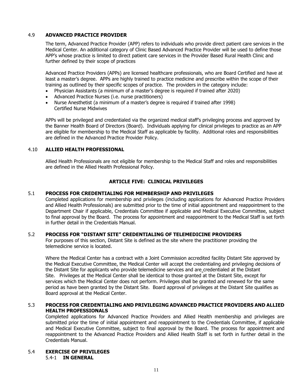#### 4.9 **ADVANCED PRACTICE PROVIDER**

The term, Advanced Practice Provider (APP) refers to individuals who provide direct patient care services in the Medical Center. An additional category of Clinic Based Advanced Practice Provider will be used to define those APP's whose practice is limited to direct patient care services in the Provider Based Rural Health Clinic and further defined by their scope of practices

Advanced Practice Providers (APPs) are licensed healthcare professionals, who are Board Certified and have at least a master's degree. APPs are highly trained to practice medicine and prescribe within the scope of their training as outlined by their specific scopes of practice. The providers in the category include:

- Physician Assistants (a minimum of a master's degree is required if trained after 2020)
- Advanced Practice Nurses (i.e. nurse practitioners)
- Nurse Anesthetist (a minimum of a master's degree is required if trained after 1998) Certified Nurse Midwives

APPs will be privileged and credentialed via the organized medical staff's privileging process and approved by the Banner Health Board of Directors (Board). Individuals applying for clinical privileges to practice as an APP are eligible for membership to the Medical Staff as applicable by facility. Additional roles and responsibilities are defined in the Advanced Practice Provider Policy.

# 4.10 **ALLIED HEALTH PROFESSIONAL**

Allied Health Professionals are not eligible for membership to the Medical Staff and roles and responsibilities are defined in the Allied Health Professional Policy.

# **ARTICLE FIVE: CLINICAL PRIVILEGES**

#### 5.1 **PROCESS FOR CREDENTIALING FOR MEMBERSHIP AND PRIVILEGES**

Completed applications for membership and privileges (including applications for Advanced Practice Providers and Allied Health Professionals) are submitted prior to the time of initial appointment and reappointment to the Department Chair if applicable, Credentials Committee if applicable and Medical Executive Committee, subject to final approval by the Board. The process for appointment and reappointment to the Medical Staff is set forth in further detail in the Credentials Manual.

#### 5.2 **PROCESS FOR "DISTANT SITE" CREDENTIALING OF TELEMEDICINE PROVIDERS**

For purposes of this section, Distant Site is defined as the site where the practitioner providing the telemedicine service is located.

Where the Medical Center has a contract with a Joint Commission accredited facility Distant Site approved by the Medical Executive Committee, the Medical Center will accept the credentialing and privileging decisions of the Distant Site for applicants who provide telemedicine services and are credentialed at the Distant Site. Privileges at the Medical Center shall be identical to those granted at the Distant Site, except for services which the Medical Center does not perform. Privileges shall be granted and renewed for the same period as have been granted by the Distant Site. Board approval of privileges at the Distant Site qualifies as Board approval at the Medical Center.

# 5.3 **PROCESS FOR CREDENTIALING AND PRIVILEGING ADVANCED PRACTICE PROVIDERS AND ALLIED HEALTH PROFESSIONALS**

Completed applications for Advanced Practice Providers and Allied Health membership and privileges are submitted prior the time of initial appointment and reappointment to the Credentials Committee, if applicable and Medical Executive Committee, subject to final approval by the Board. The process for appointment and reappointment to the Advanced Practice Providers and Allied Health Staff is set forth in further detail in the Credentials Manual.

# 5.4 **EXERCISE OF PRIVILEGES**

5.4-1 **IN GENERAL**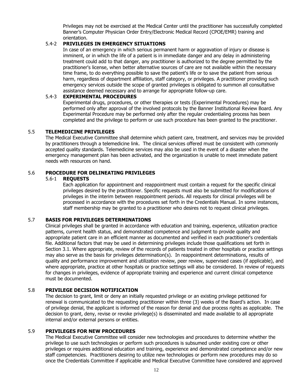Privileges may not be exercised at the Medical Center until the practitioner has successfully completed Banner's Computer Physician Order Entry/Electronic Medical Record (CPOE/EMR) training and orientation.

# 5.4-2 **PRIVILEGES IN EMERGENCY SITUATIONS**

In case of an emergency in which serious permanent harm or aggravation of injury or disease is imminent, or in which the life of a patient is in immediate danger and any delay in administering treatment could add to that danger, any practitioner is authorized to the degree permitted by the practitioner's license, when better alternative sources of care are not available within the necessary time frame, to do everything possible to save the patient's life or to save the patient from serious harm, regardless of department affiliation, staff category, or privileges. A practitioner providing such emergency services outside the scope of granted privileges is obligated to summon all consultative assistance deemed necessary and to arrange for appropriate follow-up care.

# 5.4-3 **EXPERIMENTAL PROCEDURES**

Experimental drugs, procedures, or other therapies or tests (Experimental Procedures) may be performed only after approval of the involved protocols by the Banner Institutional Review Board. Any Experimental Procedure may be performed only after the regular credentialing process has been completed and the privilege to perform or use such procedure has been granted to the practitioner.

# 5.5 **TELEMEDICINE PRIVILEGES**

The Medical Executive Committee shall determine which patient care, treatment, and services may be provided by practitioners through a telemedicine link. The clinical services offered must be consistent with commonly accepted quality standards. Telemedicine services may also be used in the event of a disaster when the emergency management plan has been activated, and the organization is unable to meet immediate patient needs with resources on hand.

# 5.6 **PROCEDURE FOR DELINEATING PRIVILEGES**

# 5.6-1 **REQUESTS**

Each application for appointment and reappointment must contain a request for the specific clinical privileges desired by the practitioner. Specific requests must also be submitted for modifications of privileges in the interim between reappointment periods. All requests for clinical privileges will be processed in accordance with the procedures set forth in the Credentials Manual. In some instances, staff membership may be granted to a practitioner who desires not to request clinical privileges.

# 5.7 **BASIS FOR PRIVILEGES DETERMINATIONS**

Clinical privileges shall be granted in accordance with education and training, experience, utilization practice patterns, current health status, and demonstrated competence and judgment to provide quality and appropriate patient care in an efficient manner as documented and verified in each practitioner's credentials file. Additional factors that may be used in determining privileges include those qualifications set forth in Section 3.1. Where appropriate, review of the records of patients treated in other hospitals or practice settings may also serve as the basis for privileges determination(s). In reappointment determinations, results of quality and performance improvement and utilization review, peer review, supervised cases (if applicable), and where appropriate, practice at other hospitals or practice settings will also be considered. In review of requests for changes in privileges, evidence of appropriate training and experience and current clinical competence must be documented.

# 5.8 **PRIVILEGE DECISION NOTIFICATION**

The decision to grant, limit or deny an initially requested privilege or an existing privilege petitioned for renewal is communicated to the requesting practitioner within three (3) weeks of the Board's action. In case of privilege denial, the applicant is informed of the reason for denial and due process rights as applicable. The decision to grant, deny, revise or revoke privilege(s) is disseminated and made available to all appropriate internal and/or external persons or entities.

# 5.9 **PRIVILEGES FOR NEW PROCEDURES**

The Medical Executive Committee will consider new technologies and procedures to determine whether the privilege to use such technologies or perform such procedures is subsumed under existing core or other privileges or requires additional education and training, experience and demonstrated competence and/or new staff competencies. Practitioners desiring to utilize new technologies or perform new procedures may do so once the Credentials Committee if applicable and Medical Executive Committee have considered and approved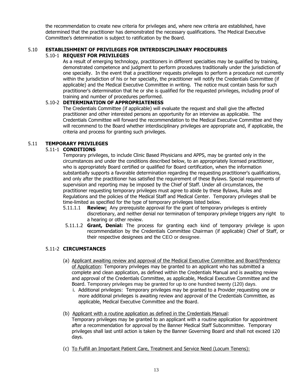the recommendation to create new criteria for privileges and, where new criteria are established, have determined that the practitioner has demonstrated the necessary qualifications. The Medical Executive Committee's determination is subject to ratification by the Board.

#### 5.10 **ESTABLISHMENT OF PRIVILEGES FOR INTERDISCIPLINARY PROCEDURES**  5.10-1 **REQUEST FOR PRIVILEGES**

As a result of emerging technology, practitioners in different specialties may be qualified by training, demonstrated competence and judgment to perform procedures traditionally under the jurisdiction of one specialty. In the event that a practitioner requests privileges to perform a procedure not currently within the jurisdiction of his or her specialty, the practitioner will notify the Credentials Committee (if applicable) and the Medical Executive Committee in writing. The notice must contain basis for such practitioner's determination that he or she is qualified for the requested privileges, including proof of training and number of procedures performed.

# 5.10-2 **DETERMINATION OF APPROPRIATENESS**

The Credentials Committee (if applicable) will evaluate the request and shall give the affected practitioner and other interested persons an opportunity for an interview as applicable. The Credentials Committee will forward the recommendation to the Medical Executive Committee and they will recommend to the Board whether interdisciplinary privileges are appropriate and, if applicable, the criteria and process for granting such privileges.

# 5.11 **TEMPORARY PRIVILEGES**

# 5.11-1 **CONDITIONS**

Temporary privileges, to include Clinic Based Physicians and APPS, may be granted only in the circumstances and under the conditions described below, to an appropriately licensed practitioner, who is appropriately Board certified or qualified for Board certification, when the information substantially supports a favorable determination regarding the requesting practitioner's qualifications, and only after the practitioner has satisfied the requirement of these Bylaws. Special requirements of supervision and reporting may be imposed by the Chief of Staff. Under all circumstances, the practitioner requesting temporary privileges must agree to abide by these Bylaws, Rules and Regulations and the policies of the Medical Staff and Medical Center. Temporary privileges shall be time-limited as specified for the type of temporary privileges listed below.

- 5.11.1.1 **Review:** Any prerequisite approval for the grant of temporary privileges is entirely discretionary, and neither denial nor termination of temporary privilege triggers any right to a hearing or other review.
- 5.11.1.2 **Grant, Denial:** The process for granting each kind of temporary privilege is upon recommendation by the Credentials Committee Chairman (if applicable) Chief of Staff, or their respective designees and the CEO or designee.

# 5.11-2 **CIRCUMSTANCES**

- (a) Applicant awaiting review and approval of the Medical Executive Committee and Board/Pendency of Application: Temporary privileges may be granted to an applicant who has submitted a complete and clean application, as defined within the Credentials Manual and is awaiting review and approval of the Credentials Committee, as applicable, Medical Executive Committee and the Board. Temporary privileges may be granted for up to one hundred twenty (120) days.
	- i. Additional privileges: Temporary privileges may be granted to a Provider requesting one or more additional privileges is awaiting review and approval of the Credentials Committee, as applicable, Medical Executive Committee and the Board.
- (b) Applicant with a routine application as defined in the Credentials Manual: Temporary privileges may be granted to an applicant with a routine application for appointment after a recommendation for approval by the Banner Medical Staff Subcommittee. Temporary privileges shall last until action is taken by the Banner Governing Board and shall not exceed 120 days.
- (c) To Fulfill an Important Patient Care, Treatment and Service Need (Locum Tenens):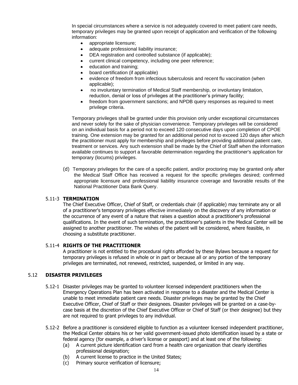In special circumstances where a service is not adequately covered to meet patient care needs, temporary privileges may be granted upon receipt of application and verification of the following information:

- appropriate licensure;
- adequate professional liability insurance:
- DEA registration and controlled substance (if applicable);
- current clinical competency, including one peer reference;
- education and training;
- board certification (if applicable)
- evidence of freedom from infectious tuberculosis and recent flu vaccination (when applicable);
- no involuntary termination of Medical Staff membership, or involuntary limitation, reduction, denial or loss of privileges at the practitioner's primary facility;
- freedom from government sanctions; and NPDB query responses as required to meet privilege criteria.

Temporary privileges shall be granted under this provision only under exceptional circumstances and never solely for the sake of physician convenience. Temporary privileges will be considered on an individual basis for a period not to exceed 120 consecutive days upon completion of CPOE training. One extension may be granted for an additional period not to exceed 120 days after which the practitioner must apply for membership and privileges before providing additional patient care, treatment or services. Any such extension shall be made by the Chief of Staff when the information available continues to support a favorable determination regarding the practitioner's application for temporary (locums) privileges.

(d) Temporary privileges for the care of a specific patient, and/or proctoring may be granted only after the Medical Staff Office has received a request for the specific privileges desired; confirmed appropriate licensure and professional liability insurance coverage and favorable results of the National Practitioner Data Bank Query.

# 5.11-3 **TERMINATION**

The Chief Executive Officer, Chief of Staff, or credentials chair (if applicable) may terminate any or all of a practitioner's temporary privileges effective immediately on the discovery of any information or the occurrence of any event of a nature that raises a question about a practitioner's professional qualifications. In the event of such termination, the practitioner's patients in the Medical Center will be assigned to another practitioner. The wishes of the patient will be considered, where feasible, in choosing a substitute practitioner.

#### 5.11-4 **RIGHTS OF THE PRACTITIONER**

A practitioner is not entitled to the procedural rights afforded by these Bylaws because a request for temporary privileges is refused in whole or in part or because all or any portion of the temporary privileges are terminated, not renewed, restricted, suspended, or limited in any way.

# 5.12 **DISASTER PRIVILEGES**

- 5.12-1 Disaster privileges may be granted to volunteer licensed independent practitioners when the Emergency Operations Plan has been activated in response to a disaster and the Medical Center is unable to meet immediate patient care needs. Disaster privileges may be granted by the Chief Executive Officer, Chief of Staff or their designees. Disaster privileges will be granted on a case-bycase basis at the discretion of the Chief Executive Officer or Chief of Staff (or their designee) but they are not required to grant privileges to any individual.
- 5.12-2 Before a practitioner is considered eligible to function as a volunteer licensed independent practitioner, the Medical Center obtains his or her valid government-issued photo identification issued by a state or federal agency (for example, a driver's license or passport) and at least one of the following:
	- (a) A current picture identification card from a health care organization that clearly identifies professional designation;
	- (b) A current license to practice in the United States;
	- (c) Primary source verification of licensure;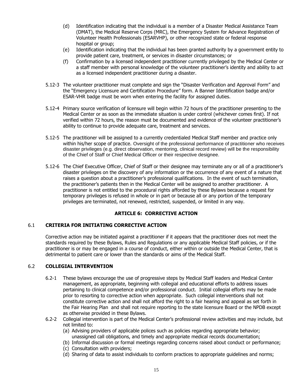- (d) Identification indicating that the individual is a member of a Disaster Medical Assistance Team (DMAT), the Medical Reserve Corps (MRC), the Emergency System for Advance Registration of Volunteer Health Professionals (ESARVHP), or other recognized state or federal response hospital or group;
- (e) Identification indicating that the individual has been granted authority by a government entity to provide patient care, treatment, or services in disaster circumstances; or
- (f) Confirmation by a licensed independent practitioner currently privileged by the Medical Center or a staff member with personal knowledge of the volunteer practitioner's identity and ability to act as a licensed independent practitioner during a disaster.
- 5.12-3 The volunteer practitioner must complete and sign the "Disaster Verification and Approval Form" and the "Emergency Licensure and Certification Procedure" form. A Banner Identification badge and/or ESAR-VHR badge must be worn when entering the facility for assigned duties.
- 5.12-4 Primary source verification of licensure will begin within 72 hours of the practitioner presenting to the Medical Center or as soon as the immediate situation is under control (whichever comes first). If not verified within 72 hours, the reason must be documented and evidence of the volunteer practitioner's ability to continue to provide adequate care, treatment and services.
- 5.12-5 The practitioner will be assigned to a currently credentialed Medical Staff member and practice only within his/her scope of practice. Oversight of the professional performance of practitioner who receives disaster privileges (e.g. direct observation, mentoring, clinical record review) will be the responsibility of the Chief of Staff or Chief Medical Officer or their respective designee.
- 5.12-6 The Chief Executive Officer, Chief of Staff or their designee may terminate any or all of a practitioner's disaster privileges on the discovery of any information or the occurrence of any event of a nature that raises a question about a practitioner's professional qualifications. In the event of such termination, the practitioner's patients then in the Medical Center will be assigned to another practitioner. A practitioner is not entitled to the procedural rights afforded by these Bylaws because a request for temporary privileges is refused in whole or in part or because all or any portion of the temporary privileges are terminated, not renewed, restricted, suspended, or limited in any way.

# **ARTICLE 6: CORRECTIVE ACTION**

# 6.1 **CRITERIA FOR INITIATING CORRECTIVE ACTION**

Corrective action may be initiated against a practitioner if it appears that the practitioner does not meet the standards required by these Bylaws, Rules and Regulations or any applicable Medical Staff policies, or if the practitioner is or may be engaged in a course of conduct, either within or outside the Medical Center, that is detrimental to patient care or lower than the standards or aims of the Medical Staff.

# 6.2 **COLLEGIAL INTERVENTION**

- 6.2-1 These bylaws encourage the use of progressive steps by Medical Staff leaders and Medical Center management, as appropriate, beginning with collegial and educational efforts to address issues pertaining to clinical competence and/or professional conduct. Initial collegial efforts may be made prior to resorting to corrective action when appropriate. Such collegial interventions shall not constitute corrective action and shall not afford the right to a fair hearing and appeal as set forth in the Fair Hearing Plan and shall not require reporting to the state licensure Board or the NPDB except as otherwise provided in these Bylaws.
- 6.2-2 Collegial intervention is part of the Medical Center's professional review activities and may include, but not limited to:
	- (a) Advising providers of applicable polices such as policies regarding appropriate behavior; unassigned call obligations, and timely and appropriate medical records documentation;
	- (b) Informal discussion or formal meetings regarding concerns raised about conduct or performance;
	- (c) Consultation with providers;
	- (d) Sharing of data to assist individuals to conform practices to appropriate guidelines and norms;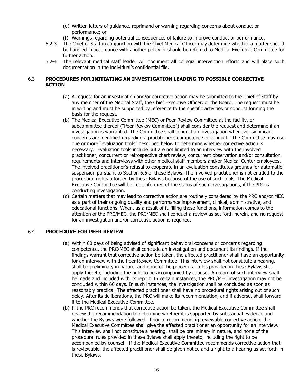- (e) Written letters of guidance, reprimand or warning regarding concerns about conduct or performance; or
- (f) Warnings regarding potential consequences of failure to improve conduct or performance.
- 6.2-3 The Chief of Staff in conjunction with the Chief Medical Officer may determine whether a matter should be handled in accordance with another policy or should be referred to Medical Executive Committee for further action.
- 6.2-4 The relevant medical staff leader will document all collegial intervention efforts and will place such documentation in the individual's confidential file.

# 6.3 **PROCEDURES FOR INITIATING AN INVESTIGATION LEADING TO POSSIBLE CORRECTIVE ACTION**

- (a) A request for an investigation and/or corrective action may be submitted to the Chief of Staff by any member of the Medical Staff, the Chief Executive Officer, or the Board. The request must be in writing and must be supported by reference to the specific activities or conduct forming the basis for the request.
- (b) The Medical Executive Committee (MEC) or Peer Review Committee at the facility, or subcommittee thereof ("Peer Review Committee") shall consider the request and determine if an investigation is warranted. The Committee shall conduct an investigation whenever significant concerns are identified regarding a practitioner's competence or conduct. The Committee may use one or more "evaluation tools" described below to determine whether corrective action is necessary. Evaluation tools include but are not limited to an interview with the involved practitioner, concurrent or retrospective chart review, concurrent observation and/or consultation requirements and interviews with other medical staff members and/or Medical Center employees. The involved practitioner's refusal to cooperate in an evaluation constitutes grounds for automatic suspension pursuant to Section 6.6 of these Bylaws. The involved practitioner is not entitled to the procedural rights afforded by these Bylaws because of the use of such tools. The Medical Executive Committee will be kept informed of the status of such investigations, if the PRC is conducting investigation.
- (c) Certain matters that may lead to corrective action are routinely considered by the PRC and/or MEC as a part of their ongoing quality and performance improvement, clinical, administrative, and educational functions. When, as a result of fulfilling these functions, information comes to the attention of the PRC/MEC, the PRC/MEC shall conduct a review as set forth herein, and no request for an investigation and/or corrective action is required.

# 6.4 **PROCEDURE FOR PEER REVIEW**

- (a) Within 60 days of being advised of significant behavioral concerns or concerns regarding competence, the PRC/MEC shall conclude an investigation and document its findings. If the findings warrant that corrective action be taken, the affected practitioner shall have an opportunity for an interview with the Peer Review Committee. This interview shall not constitute a hearing, shall be preliminary in nature, and none of the procedural rules provided in these Bylaws shall apply thereto, including the right to be accompanied by counsel. A record of such interview shall be made and included with its report. In certain instances, the PRC/MEC investigation may not be concluded within 60 days. In such instances, the investigation shall be concluded as soon as reasonably practical. The affected practitioner shall have no procedural rights arising out of such delay. After its deliberations, the PRC will make its recommendation, and if adverse, shall forward it to the Medical Executive Committee.
- (b) If the PRC recommends that corrective action be taken, the Medical Executive Committee shall review the recommendation to determine whether it is supported by substantial evidence and whether the Bylaws were followed. Prior to recommending reviewable corrective action, the Medical Executive Committee shall give the affected practitioner an opportunity for an interview. This interview shall not constitute a hearing, shall be preliminary in nature, and none of the procedural rules provided in these Bylaws shall apply thereto, including the right to be accompanied by counsel. If the Medical Executive Committee recommends corrective action that is reviewable, the affected practitioner shall be given notice and a right to a hearing as set forth in these Bylaws.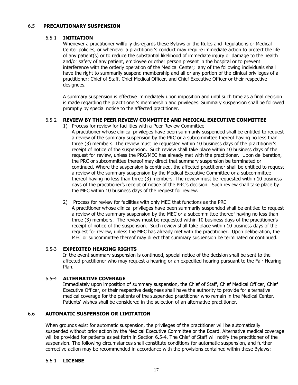#### 6.5 **PRECAUTIONARY SUSPENSION**

#### 6.5-1 **INITIATION**

Whenever a practitioner willfully disregards these Bylaws or the Rules and Regulations or Medical Center policies, or whenever a practitioner's conduct may require immediate action to protect the life of any patient(s) or to reduce the substantial likelihood of immediate injury or damage to the health and/or safety of any patient, employee or other person present in the hospital or to prevent interference with the orderly operation of the Medical Center; any of the following individuals shall have the right to summarily suspend membership and all or any portion of the clinical privileges of a practitioner: Chief of Staff, Chief Medical Officer, and Chief Executive Officer or their respective designees.

A summary suspension is effective immediately upon imposition and until such time as a final decision is made regarding the practitioner's membership and privileges. Summary suspension shall be followed promptly by special notice to the affected practitioner.

# 6.5-2 **REVIEW BY THE PEER REVIEW COMMITTEE AND MEDICAL EXECUTIVE COMMITTEE**

1) Process for review for facilities with a Peer Review Committee

A practitioner whose clinical privileges have been summarily suspended shall be entitled to request a review of the summary suspension by the PRC or a subcommittee thereof having no less than three (3) members. The review must be requested within 10 business days of the practitioner's receipt of notice of the suspension. Such review shall take place within 10 business days of the request for review, unless the PRC/MEC has already met with the practitioner. Upon deliberation, the PRC or subcommittee thereof may direct that summary suspension be terminated or continued. Where the suspension is continued, the affected practitioner shall be entitled to request a review of the summary suspension by the Medical Executive Committee or a subcommittee thereof having no less than three (3) members. The review must be requested within 10 business days of the practitioner's receipt of notice of the PRC's decision. Such review shall take place by the MEC within 10 business days of the request for review.

2) Process for review for facilities with only MEC that functions as the PRC

A practitioner whose clinical privileges have been summarily suspended shall be entitled to request a review of the summary suspension by the MEC or a subcommittee thereof having no less than three (3) members. The review must be requested within 10 business days of the practitioner's receipt of notice of the suspension. Such review shall take place within 10 business days of the request for review, unless the MEC has already met with the practitioner. Upon deliberation, the MEC or subcommittee thereof may direct that summary suspension be terminated or continued.

# 6.5-3 **EXPEDITED HEARING RIGHTS**

In the event summary suspension is continued, special notice of the decision shall be sent to the affected practitioner who may request a hearing or an expedited hearing pursuant to the Fair Hearing Plan.

# 6.5-4 **ALTERNATIVE COVERAGE**

Immediately upon imposition of summary suspension, the Chief of Staff, Chief Medical Officer, Chief Executive Officer, or their respective designees shall have the authority to provide for alternative medical coverage for the patients of the suspended practitioner who remain in the Medical Center. Patients' wishes shall be considered in the selection of an alternative practitioner.

# 6.6 **AUTOMATIC SUSPENSION OR LIMITATION**

When grounds exist for automatic suspension, the privileges of the practitioner will be automatically suspended without prior action by the Medical Executive Committee or the Board. Alternative medical coverage will be provided for patients as set forth in Section 6.5-4. The Chief of Staff will notify the practitioner of the suspension. The following circumstances shall constitute conditions for automatic suspension, and further corrective action may be recommended in accordance with the provisions contained within these Bylaws:

#### 6.6-1 **LICENSE**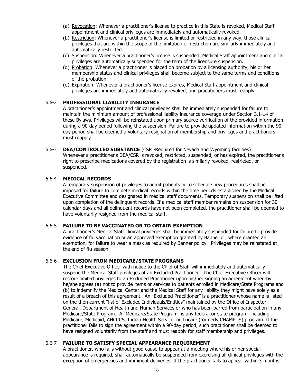- (a) Revocation: Whenever a practitioner's license to practice in this State is revoked, Medical Staff appointment and clinical privileges are immediately and automatically revoked.
- (b) Restriction: Whenever a practitioner's license is limited or restricted in any way, those clinical privileges that are within the scope of the limitation or restriction are similarly immediately and automatically restricted.
- (c) Suspension: Whenever a practitioner's license is suspended, Medical Staff appointment and clinical privileges are automatically suspended for the term of the licensure suspension.
- (d) Probation: Whenever a practitioner is placed on probation by a licensing authority, his or her membership status and clinical privileges shall become subject to the same terms and conditions of the probation.
- (e) Expiration: Whenever a practitioner's license expires, Medical Staff appointment and clinical privileges are immediately and automatically revoked, and practitioners must reapply.

# 6.6-2 **PROFESSIONAL LIABILITY INSURANCE**

A practitioner's appointment and clinical privileges shall be immediately suspended for failure to maintain the minimum amount of professional liability insurance coverage under Section 3.1-14 of these Bylaws. Privileges will be reinstated upon primary source verification of the provided information during a 90-day period following the suspension. Failure to provide updated information within the 90 day period shall be deemed a voluntary resignation of membership and privileges and practitioners must reapply.

6.6-3 **DEA/CONTROLLED SUBSTANCE** (CSR -Required for Nevada and Wyoming facilities) Whenever a practitioner's DEA/CSR is revoked, restricted, suspended, or has expired, the practitioner's right to prescribe medications covered by the registration is similarly revoked, restricted, or suspended.

#### 6.6-4 **MEDICAL RECORDS**

A temporary suspension of privileges to admit patients or to schedule new procedures shall be imposed for failure to complete medical records within the time periods established by the Medical Executive Committee and designated in medical staff documents. Temporary suspension shall be lifted upon completion of the delinquent records. If a medical staff member remains on suspension for 30 calendar days and all delinquent records have not been completed, the practitioner shall be deemed to have voluntarily resigned from the medical staff.

# 6.6-5 **FAILURE TO BE VACCINATED OR TO OBTAIN EXEMPTION**

A practitioner's Medical Staff clinical privileges shall be immediately suspended for failure to provide evidence of flu vaccination or an approved exemption granted by Banner or, where granted an exemption, for failure to wear a mask as required by Banner policy. Privileges may be reinstated at the end of flu season.

#### 6.6-6 **EXCLUSION FROM MEDICARE/STATE PROGRAMS**

The Chief Executive Officer with notice to the Chief of Staff will immediately and automatically suspend the Medical Staff privileges of an Excluded Practitioner. The Chief Executive Officer will restore limited privileges to an Excluded Practitioner upon his/her signing an agreement whereby he/she agrees (a) not to provide items or services to patients enrolled in Medicare/State Programs and (b) to indemnify the Medical Center and the Medical Staff for any liability they might have solely as a result of a breach of this agreement. An "Excluded Practitioner" is a practitioner whose name is listed on the then current "list of Excluded Individuals/Entities" maintained by the Office of Inspector General, Department of Health and Human Services or who has been barred from participation in any Medicare/State Program. A "Medicare/State Program" is any federal or state program, including Medicare, Medicaid, AHCCCS, Indian Health Service, or Tricare (formerly CHAMPUS) program. If the practitioner fails to sign the agreement within a 90-day period, such practitioner shall be deemed to have resigned voluntarily from the staff and must reapply for staff membership and privileges.

# 6.6-7 **FAILURE TO SATISFY SPECIAL APPEARANCE REQUIREMENT**

A practitioner, who fails without good cause to appear at a meeting where his or her special appearance is required, shall automatically be suspended from exercising all clinical privileges with the exception of emergencies and imminent deliveries. If the practitioner fails to appear within 3 months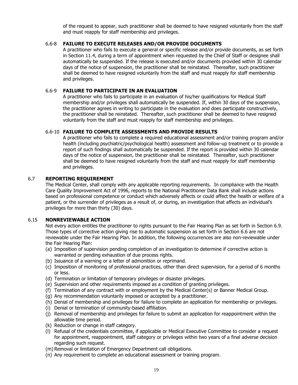of the request to appear, such practitioner shall be deemed to have resigned voluntarily from the staff and must reapply for staff membership and privileges.

# 6.6-8 **FAILURE TO EXECUTE RELEASES AND/OR PROVIDE DOCUMENTS**

A practitioner who fails to execute a general or specific release and/or provide documents, as set forth in Section 11.4, during a term of appointment when requested by the Chief of Staff or designee shall automatically be suspended. If the release is executed and/or documents provided within 30 calendar days of the notice of suspension, the practitioner shall be reinstated. Thereafter, such practitioner shall be deemed to have resigned voluntarily from the staff and must reapply for staff membership and privileges.

# 6.6-9 **FAILURE TO PARTICIPATE IN AN EVALUATION**

A practitioner who fails to participate in an evaluation of his/her qualifications for Medical Staff membership and/or privileges shall automatically be suspended. If, within 30 days of the suspension, the practitioner agrees in writing to participate in the evaluation and does participate constructively, the practitioner shall be reinstated. Thereafter, such practitioner shall be deemed to have resigned voluntarily from the staff and must reapply for staff membership and privileges.

# 6.6-10 **FAILURE TO COMPLETE ASSESSMENTS AND PROVIDE RESULTS**

A practitioner who fails to complete a required educational assessment and/or training program and/or health (including psychiatric/psychological health) assessment and follow-up treatment or to provide a report of such findings shall automatically be suspended. If the report is provided within 30 calendar days of the notice of suspension, the practitioner shall be reinstated. Thereafter, such practitioner shall be deemed to have resigned voluntarily from the staff and must reapply for staff membership and privileges.

# 6.7 **REPORTING REQUIREMENT**

The Medical Center, shall comply with any applicable reporting requirements. In compliance with the Health Care Quality Improvement Act of 1996, reports to the National Practitioner Data Bank shall include actions based on professional competence or conduct which adversely affects or could affect the health or welfare of a patient, or the surrender of privileges as a result of, or during, an investigation that affects an individual's privileges for more than thirty (30) days.

# 6.15 **NONREVIEWABLE ACTION**

Not every action entitles the practitioner to rights pursuant to the Fair Hearing Plan as set forth in Section 6.9. Those types of corrective action giving rise to automatic suspension as set forth in Section 6.6 are not reviewable under the Fair Hearing Plan. In addition, the following occurrences are also non-reviewable under the Fair Hearing Plan:

- (a) Imposition of supervision pending completion of an investigation to determine if corrective action is warranted or pending exhaustion of due process rights.
- (b) Issuance of a warning or a letter of admonition or reprimand.
- (c) Imposition of monitoring of professional practices, other than direct supervision, for a period of 6 months or less.
- (d) Termination or limitation of temporary privileges or disaster privileges.
- (e) Supervision and other requirements imposed as a condition of granting privileges.
- (f) Termination of any contract with or employment by the Medical Center(s) or Banner Medical Group.
- (g) Any recommendation voluntarily imposed or accepted by a practitioner.
- (h) Denial of membership and privileges for failure to complete an application for membership or privileges.
- (i) Denial or termination of community-based affiliation.
- (j) Removal of membership and privileges for failure to submit an application for reappointment within the allowable time period.
- (k) Reduction or change in staff category.
- (l) Refusal of the credentials committee, if applicable or Medical Executive Committee to consider a request for appointment, reappointment, staff category or privileges within two years of a final adverse decision regarding such request.
- (m) Removal or limitation of Emergency Department call obligations.
- (n) Any requirement to complete an educational assessment or training program.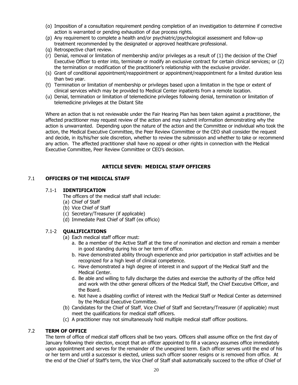- (o) Imposition of a consultation requirement pending completion of an investigation to determine if corrective action is warranted or pending exhaustion of due process rights.
- (p) Any requirement to complete a health and/or psychiatric/psychological assessment and follow-up treatment recommended by the designated or approved healthcare professional.
- (q) Retrospective chart review.
- (r) Denial, removal or limitation of membership and/or privileges as a result of (1) the decision of the Chief Executive Officer to enter into, terminate or modify an exclusive contract for certain clinical services; or (2) the termination or modification of the practitioner's relationship with the exclusive provider.
- (s) Grant of conditional appointment/reappointment or appointment/reappointment for a limited duration less than two year.
- (t) Termination or limitation of membership or privileges based upon a limitation in the type or extent of clinical services which may be provided to Medical Center inpatients from a remote location.
- (u) Denial, termination or limitation of telemedicine privileges following denial, termination or limitation of telemedicine privileges at the Distant Site

Where an action that is not reviewable under the Fair Hearing Plan has been taken against a practitioner, the affected practitioner may request review of the action and may submit information demonstrating why the action is unwarranted. Depending upon the nature of the action and the Committee or individual who took the action, the Medical Executive Committee, the Peer Review Committee or the CEO shall consider the request and decide, in its/his/her sole discretion, whether to review the submission and whether to take or recommend any action. The affected practitioner shall have no appeal or other rights in connection with the Medical Executive Committee, Peer Review Committee or CEO's decision.

# **ARTICLE SEVEN: MEDICAL STAFF OFFICERS**

#### 7.1 **OFFICERS OF THE MEDICAL STAFF**

#### 7.1-1 **IDENTIFICATION**

The officers of the medical staff shall include:

- (a) Chief of Staff
- (b) Vice Chief of Staff
- (c) Secretary/Treasurer (if applicable)
- (d) Immediate Past Chief of Staff (ex officio)

# 7.1-2 **QUALIFICATIONS**

- (a) Each medical staff officer must:
	- a. Be a member of the Active Staff at the time of nomination and election and remain a member in good standing during his or her term of office.
	- b. Have demonstrated ability through experience and prior participation in staff activities and be recognized for a high level of clinical competence.
	- c. Have demonstrated a high degree of interest in and support of the Medical Staff and the Medical Center.
	- d. Be able and willing to fully discharge the duties and exercise the authority of the office held and work with the other general officers of the Medical Staff, the Chief Executive Officer, and the Board.
	- e. Not have a disabling conflict of interest with the Medical Staff or Medical Center as determined by the Medical Executive Committee.
- (b) Candidates for the Chief of Staff, Vice Chief of Staff and Secretary/Treasurer (if applicable) must meet the qualifications for medical staff officers.
- (c) A practitioner may not simultaneously hold multiple medical staff officer positions.

# 7.2 **TERM OF OFFICE**

The term of office of medical staff officers shall be two years. Officers shall assume office on the first day of January following their election, except that an officer appointed to fill a vacancy assumes office immediately upon appointment and serves for the remainder of the unexpired term. Each officer serves until the end of his or her term and until a successor is elected, unless such officer sooner resigns or is removed from office. At the end of the Chief of Staff's term, the Vice Chief of Staff shall automatically succeed to the office of Chief of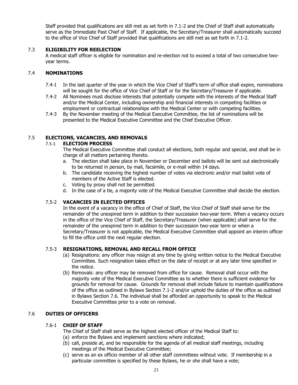Staff provided that qualifications are still met as set forth in 7.1-2 and the Chief of Staff shall automatically serve as the Immediate Past Chief of Staff. If applicable, the Secretary/Treasurer shall automatically succeed to the office of Vice Chief of Staff provided that qualifications are still met as set forth in 7.1-2.

# 7.3 **ELIGIBILITY FOR REELECTION**

A medical staff officer is eligible for nomination and re-election not to exceed a total of two consecutive twoyear terms.

# 7.4 **NOMINATIONS**

- 7.4-1 In the last quarter of the year in which the Vice Chief of Staff's term of office shall expire, nominations will be sought for the office of Vice Chief of Staff or for the Secretary/Treasurer if applicable.
- 7.4-2 All Nominees must disclose interests that potentially compete with the interests of the Medical Staff and/or the Medical Center, including ownership and financial interests in competing facilities or employment or contractual relationships with the Medical Center or with competing facilities.
- 7.4-3 By the November meeting of the Medical Executive Committee, the list of nominations will be presented to the Medical Executive Committee and the Chief Executive Officer.

# 7.5 **ELECTIONS, VACANCIES, AND REMOVALS**

# 7.5-1 **ELECTION PROCESS**

The Medical Executive Committee shall conduct all elections, both regular and special, and shall be in charge of all matters pertaining thereto.

- a. The election shall take place in November or December and ballots will be sent out electronically to be returned in person, by mail, facsimile, or e-mail within 14 days.
- b. The candidate receiving the highest number of votes via electronic and/or mail ballot vote of members of the Active Staff is elected.
- c. Voting by proxy shall not be permitted.
- d. In the case of a tie, a majority vote of the Medical Executive Committee shall decide the election.

# 7.5-2 **VACANCIES IN ELECTED OFFICES**

In the event of a vacancy in the office of Chief of Staff, the Vice Chief of Staff shall serve for the remainder of the unexpired term in addition to their succession two-year term. When a vacancy occurs in the office of the Vice Chief of Staff, the Secretary/Treasurer (when applicable) shall serve for the remainder of the unexpired term in addition to their succession two-year term or when a Secretary/Treasurer is not applicable, the Medical Executive Committee shall appoint an interim officer to fill the office until the next regular election.

# 7.5-3 **RESIGNATIONS, REMOVAL AND RECALL FROM OFFICE**

- (a) Resignations: any officer may resign at any time by giving written notice to the Medical Executive Committee. Such resignation takes effect on the date of receipt or at any later time specified in the notice.
- (b) Removals: any officer may be removed from office for cause. Removal shall occur with the majority vote of the Medical Executive Committee as to whether there is sufficient evidence for grounds for removal for cause. Grounds for removal shall include failure to maintain qualifications of the office as outlined in Bylaws Section 7.1-2 and/or uphold the duties of the office as outlined in Bylaws Section 7.6. The individual shall be afforded an opportunity to speak to the Medical Executive Committee prior to a vote on removal.

# 7.6 **DUTIES OF OFFICERS**

#### 7.6-1 **CHIEF OF STAFF**

The Chief of Staff shall serve as the highest elected officer of the Medical Staff to:

- (a) enforce the Bylaws and implement sanctions where indicated;
- (b) call, preside at, and be responsible for the agenda of all medical staff meetings, including meetings of the Medical Executive Committee;
- (c) serve as an ex officio member of all other staff committees without vote. If membership in a particular committee is specified by these Bylaws, he or she shall have a vote;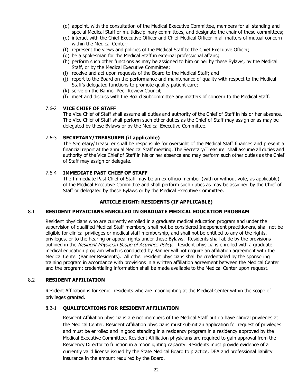- (d) appoint, with the consultation of the Medical Executive Committee, members for all standing and special Medical Staff or multidisciplinary committees, and designate the chair of these committees;
- (e) interact with the Chief Executive Officer and Chief Medical Officer in all matters of mutual concern within the Medical Center;
- (f) represent the views and policies of the Medical Staff to the Chief Executive Officer;
- (g) be a spokesman for the Medical Staff in external professional affairs;
- (h) perform such other functions as may be assigned to him or her by these Bylaws, by the Medical Staff, or by the Medical Executive Committee;
- (i) receive and act upon requests of the Board to the Medical Staff; and
- (j) report to the Board on the performance and maintenance of quality with respect to the Medical Staff's delegated functions to promote quality patient care;
- (k) serve on the Banner Peer Review Council;
- (l) meet and discuss with the Board Subcommittee any matters of concern to the Medical Staff.

#### 7.6-2 **VICE CHIEF OF STAFF**

The Vice Chief of Staff shall assume all duties and authority of the Chief of Staff in his or her absence. The Vice Chief of Staff shall perform such other duties as the Chief of Staff may assign or as may be delegated by these Bylaws or by the Medical Executive Committee.

# 7.6-3 **SECRETARY/TREASURER (if applicable)**

The Secretary/Treasurer shall be responsible for oversight of the Medical Staff finances and present a financial report at the annual Medical Staff meeting. The Secretary/Treasurer shall assume all duties and authority of the Vice Chief of Staff in his or her absence and may perform such other duties as the Chief of Staff may assign or delegate.

#### 7.6-4 **IMMEDIATE PAST CHIEF OF STAFF**

The Immediate Past Chief of Staff may be an ex officio member (with or without vote, as applicable) of the Medical Executive Committee and shall perform such duties as may be assigned by the Chief of Staff or delegated by these Bylaws or by the Medical Executive Committee.

# **ARTICLE EIGHT: RESIDENTS (IF APPLICABLE)**

#### 8.1 **RESIDENT PHYSICIANS ENROLLED IN GRADUATE MEDICAL EDUCATION PROGRAM**

Resident physicians who are currently enrolled in a graduate medical education program and under the supervision of qualified Medical Staff members, shall not be considered Independent practitioners, shall not be eligible for clinical privileges or medical staff membership, and shall not be entitled to any of the rights, privileges, or to the hearing or appeal rights under these Bylaws. Residents shall abide by the provisions outlined in the Resident Physician Scope of Activities Policy. Resident physicians enrolled with a graduate medical education program which is conducted by Banner will not require an affiliation agreement with the Medical Center (Banner Residents). All other resident physicians shall be credentialed by the sponsoring training program in accordance with provisions in a written affiliation agreement between the Medical Center and the program; credentialing information shall be made available to the Medical Center upon request.

#### 8.2 **RESIDENT AFFILIATION**

Resident Affiliation is for senior residents who are moonlighting at the Medical Center within the scope of privileges granted.

# 8.2-1 **QUALIFICATIONS FOR RESIDENT AFFILIATION**

Resident Affiliation physicians are not members of the Medical Staff but do have clinical privileges at the Medical Center. Resident Affiliation physicians must submit an application for request of privileges and must be enrolled and in good standing in a residency program in a residency approved by the Medical Executive Committee. Resident Affiliation physicians are required to gain approval from the Residency Director to function in a moonlighting capacity. Residents must provide evidence of a currently valid license issued by the State Medical Board to practice, DEA and professional liability insurance in the amount required by the Board.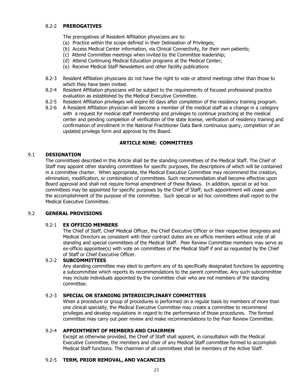#### 8.2-2 **PREROGATIVES**

The prerogatives of Resident Affiliation physicians are to:

- (a) Practice within the scope defined in their Delineation of Privileges;
- (b) Access Medical Center information, via Clinical Connectivity, for their own patients;
- (c) Attend Committee meetings when invited by the Committee leadership;
- (d) Attend Continuing Medical Education programs at the Medical Center;
- (e) Receive Medical Staff Newsletters and other facility publications
- 8.2-3 Resident Affiliation physicians do not have the right to vote or attend meetings other than those to which they have been invited.
- 8.2-4 Resident Affiliation physicians will be subject to the requirements of focused professional practice evaluation as established by the Medical Executive Committee.
- 8.2-5 Resident Affiliation privileges will expire 60 days after completion of the residency training program.
- 8.2-6 A Resident Affiliation physician will become a member of the medical staff as a change in a category with a request for medical staff membership and privileges to continue practicing at the medical center and pending completion of verification of the state license, verification of residency training and confirmation of enrollment in the National Practitioner Data Bank continuous query, completion of an updated privilege form and approval by the Board.

# **ARTICLE NINE: COMMITTEES**

#### 9.1 **DESIGNATION**

The committees described in this Article shall be the standing committees of the Medical Staff. The Chief of Staff may appoint other standing committees for specific purposes, the descriptions of which will be contained in a committee charter. When appropriate, the Medical Executive Committee may recommend the creation, elimination, modification, or combination of committees. Such recommendation shall become effective upon Board approval and shall not require formal amendment of these Bylaws. In addition, special or ad hoc committees may be appointed for specific purposes by the Chief of Staff; such appointment will cease upon the accomplishment of the purpose of the committee. Such special or ad hoc committees shall report to the Medical Executive Committee.

#### 9.2 **GENERAL PROVISIONS**

#### 9.2-1 **EX OFFICIO MEMBERS**

The Chief of Staff, Chief Medical Officer, the Chief Executive Officer or their respective designees and Medical Directors as consistent with their contract duties are ex officio members without vote of all standing and special committees of the Medical Staff. Peer Review Committee members may serve as ex-officio appointee(s) with vote on committees of the Medical Staff if and as requested by the Chief of Staff or Chief Executive Officer.

#### 9.2-2 **SUBCOMMITTEES**

Any standing committee may elect to perform any of its specifically designated functions by appointing a subcommittee which reports its recommendations to the parent committee. Any such subcommittee may include individuals appointed by the committee chair who are not members of the standing committee.

# 9.2-3 **SPECIAL OR STANDING INTERDICIPLINARY COMMITTEES**

When a procedure or group of procedures is performed on a regular basis by members of more than one clinical specialty, the Medical Executive Committee may create a committee to recommend privileges and develop regulations in regard to the performance of those procedures. The formed committee may carry out peer review and make recommendations to the Peer Review Committee.

#### 9.2-4 **APPOINTMENT OF MEMBERS AND CHAIRMEN**

Except as otherwise provided, the Chief of Staff shall appoint, in consultation with the Medical Executive Committee, the members and chair of any Medical Staff committee formed to accomplish Medical Staff functions. The chairmen of all committees shall be members of the Active Staff.

# 9.2-5 **TERM, PRIOR REMOVAL, AND VACANCIES**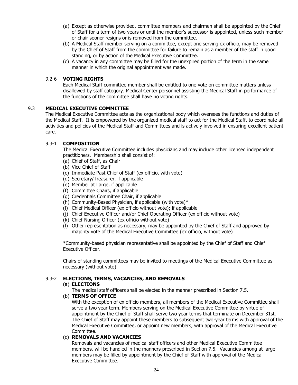- (a) Except as otherwise provided, committee members and chairmen shall be appointed by the Chief of Staff for a term of two years or until the member's successor is appointed, unless such member or chair sooner resigns or is removed from the committee.
- (b) A Medical Staff member serving on a committee, except one serving ex officio, may be removed by the Chief of Staff from the committee for failure to remain as a member of the staff in good standing, or by action of the Medical Executive Committee.
- (c) A vacancy in any committee may be filled for the unexpired portion of the term in the same manner in which the original appointment was made.

# 9.2-6 **VOTING RIGHTS**

Each Medical Staff committee member shall be entitled to one vote on committee matters unless disallowed by staff category. Medical Center personnel assisting the Medical Staff in performance of the functions of the committee shall have no voting rights.

# 9.3 **MEDICAL EXECUTIVE COMMITTEE**

The Medical Executive Committee acts as the organizational body which oversees the functions and duties of the Medical Staff. It is empowered by the organized medical staff to act for the Medical Staff, to coordinate all activities and policies of the Medical Staff and Committees and is actively involved in ensuring excellent patient care.

# 9.3-1 **COMPOSITION**

The Medical Executive Committee includes physicians and may include other licensed independent practitioners. Membership shall consist of:

- (a) Chief of Staff, as Chair
- (b) Vice-Chief of Staff
- (c) Immediate Past Chief of Staff (ex officio, with vote)
- (d) Secretary/Treasurer, if applicable
- (e) Member at Large, if applicable
- (f) Committee Chairs, if applicable
- (g) Credentials Committee Chair, if applicable
- (h) Community-Based Physician, if applicable (with vote)\*
- (i) Chief Medical Officer (ex officio without vote); if applicable
- (j) Chief Executive Officer and/or Chief Operating Officer (ex officio without vote)
- (k) Chief Nursing Officer (ex officio without vote)
- (l) Other representation as necessary, may be appointed by the Chief of Staff and approved by majority vote of the Medical Executive Committee (ex officio, without vote)

\*Community-based physician representative shall be appointed by the Chief of Staff and Chief Executive Officer.

Chairs of standing committees may be invited to meetings of the Medical Executive Committee as necessary (without vote).

# 9.3-2 **ELECTIONS, TERMS, VACANCIES, AND REMOVALS**

#### (a) **ELECTIONS**

The medical staff officers shall be elected in the manner prescribed in Section 7.5.

# (b) **TERMS OF OFFICE**

With the exception of ex officio members, all members of the Medical Executive Committee shall serve a two year term. Members serving on the Medical Executive Committee by virtue of appointment by the Chief of Staff shall serve two year terms that terminate on December 31st. The Chief of Staff may appoint these members to subsequent two-year terms with approval of the Medical Executive Committee, or appoint new members, with approval of the Medical Executive Committee.

# (c) **REMOVALS AND VACANCIES**

Removals and vacancies of medical staff officers and other Medical Executive Committee members, will be handled in the manners prescribed in Section 7.5. Vacancies among at-large members may be filled by appointment by the Chief of Staff with approval of the Medical Executive Committee.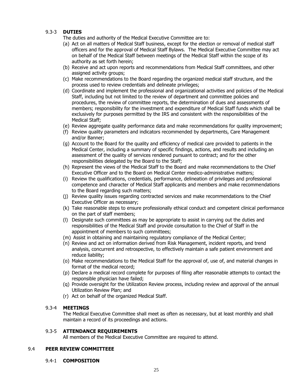# 9.3-3 **DUTIES**

The duties and authority of the Medical Executive Committee are to:

- (a) Act on all matters of Medical Staff business, except for the election or removal of medical staff officers and for the approval of Medical Staff Bylaws. The Medical Executive Committee may act on behalf of the Medical Staff between meetings of the Medical Staff within the scope of its authority as set forth herein;
- (b) Receive and act upon reports and recommendations from Medical Staff committees, and other assigned activity groups;
- (c) Make recommendations to the Board regarding the organized medical staff structure, and the process used to review credentials and delineate privileges;
- (d) Coordinate and implement the professional and organizational activities and policies of the Medical Staff, including but not limited to the review of department and committee policies and procedures, the review of committee reports, the determination of dues and assessments of members; responsibility for the investment and expenditure of Medical Staff funds which shall be exclusively for purposes permitted by the IRS and consistent with the responsibilities of the Medical Staff;
- (e) Review aggregate quality performance data and make recommendations for quality improvement;
- (f) Review quality parameters and indicators recommended by departments, Care Management and/or Banner;
- (g) Account to the Board for the quality and efficiency of medical care provided to patients in the Medical Center, including a summary of specific findings, actions, and results and including an assessment of the quality of services rendered pursuant to contract; and for the other responsibilities delegated by the Board to the Staff;
- (h) Represent the views of the Medical Staff to the Board and make recommendations to the Chief Executive Officer and to the Board on Medical Center medico-administrative matters;
- (i) Review the qualifications, credentials, performance, delineation of privileges and professional competence and character of Medical Staff applicants and members and make recommendations to the Board regarding such matters;
- (j) Review quality issues regarding contracted services and make recommendations to the Chief Executive Officer as necessary;
- (k) Take reasonable steps to ensure professionally ethical conduct and competent clinical performance on the part of staff members;
- (l) Designate such committees as may be appropriate to assist in carrying out the duties and responsibilities of the Medical Staff and provide consultation to the Chief of Staff in the appointment of members to such committees;
- (m) Assist in obtaining and maintaining regulatory compliance of the Medical Center;
- (n) Review and act on information derived from Risk Management, incident reports, and trend analysis, concurrent and retrospective, to effectively maintain a safe patient environment and reduce liability;
- (o) Make recommendations to the Medical Staff for the approval of, use of, and material changes in format of the medical record;
- (p) Declare a medical record complete for purposes of filing after reasonable attempts to contact the responsible physician have failed;
- (q) Provide oversight for the Utilization Review process, including review and approval of the annual Utilization Review Plan; and
- (r) Act on behalf of the organized Medical Staff.

# 9.3-4 **MEETINGS**

The Medical Executive Committee shall meet as often as necessary, but at least monthly and shall maintain a record of its proceedings and actions.

# 9.3-5 **ATTENDANCE REQUIREMENTS**

All members of the Medical Executive Committee are required to attend.

# 9.4 **PEER REVIEW COMMITTEEE**

9.4-1 **COMPOSITION**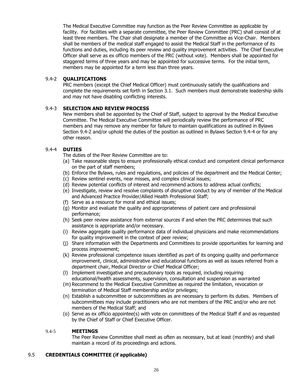The Medical Executive Committee may function as the Peer Review Committee as applicable by facility. For facilities with a separate committee, the Peer Review Committee (PRC) shall consist of at least three members. The Chair shall designate a member of the Committee as Vice-Chair. Members shall be members of the medical staff engaged to assist the Medical Staff in the performance of its functions and duties, including its peer review and quality improvement activities. The Chief Executive Officer shall serve as ex officio members of the PRC (without vote). Members shall be appointed for staggered terms of three years and may be appointed for successive terms. For the initial term, members may be appointed for a term less than three years.

# 9.4-2 **QUALIFICATIONS**

PRC members (except the Chief Medical Officer) must continuously satisfy the qualifications and complete the requirements set forth in Section 3.1. Such members must demonstrate leadership skills and may not have disabling conflicting interests.

# 9.4-3 **SELECTION AND REVIEW PROCESS**

New members shall be appointed by the Chief of Staff, subject to approval by the Medical Executive Committee. The Medical Executive Committee will periodically review the performance of PRC members and may remove any member for failure to maintain qualifications as outlined in Bylaws Section 9.4-2 and/or uphold the duties of the position as outlined in Bylaws Section 9.4-4 or for any other reason.

#### 9.4-4 **DUTIES**

The duties of the Peer Review Committee are to:

- (a) Take reasonable steps to ensure professionally ethical conduct and competent clinical performance on the part of staff members;
- (b) Enforce the Bylaws, rules and regulations, and policies of the department and the Medical Center;
- (c) Review sentinel events, near misses, and complex clinical issues;
- (d) Review potential conflicts of interest and recommend actions to address actual conflicts;
- (e) Investigate, review and resolve complaints of disruptive conduct by any of member of the Medical and Advanced Practice Provider/Allied Health Professional Staff;
- (f) Serve as a resource for moral and ethical issues;
- (g) Monitor and evaluate the quality and appropriateness of patient care and professional performance;
- (h) Seek peer review assistance from external sources if and when the PRC determines that such assistance is appropriate and/or necessary.
- (i) Review aggregate quality performance data of individual physicians and make recommendations for quality improvement in the context of peer review;
- (j) Share information with the Departments and Committees to provide opportunities for learning and process improvement;
- (k) Review professional competence issues identified as part of its ongoing quality and performance improvement, clinical, administrative and educational functions as well as issues referred from a department chair, Medical Director or Chief Medical Officer;
- (l) Implement investigative and precautionary tools as required, including requiring educational/health assessments, supervision, consultation and suspension as warranted
- (m) Recommend to the Medical Executive Committee as required the limitation, revocation or termination of Medical Staff membership and/or privileges;
- (n) Establish a subcommittee or subcommittees as are necessary to perform its duties. Members of subcommittees may include practitioners who are not members of the PRC and/or who are not members of the Medical Staff; and
- (o) Serve as ex officio appointee(s) with vote on committees of the Medical Staff if and as requested by the Chief of Staff or Chief Executive Officer.

#### 9.4-5 **MEETINGS**

The Peer Review Committee shall meet as often as necessary, but at least (monthly) and shall maintain a record of its proceedings and actions.

# 9.5 **CREDENTIALS COMMITTEE (if applicable)**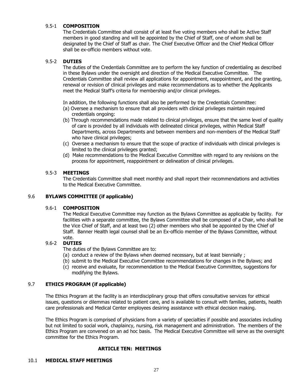# 9.5-1 **COMPOSITION**

The Credentials Committee shall consist of at least five voting members who shall be Active Staff members in good standing and will be appointed by the Chief of Staff, one of whom shall be designated by the Chief of Staff as chair. The Chief Executive Officer and the Chief Medical Officer shall be ex-officio members without vote.

# 9.5-2 **DUTIES**

The duties of the Credentials Committee are to perform the key function of credentialing as described in these Bylaws under the oversight and direction of the Medical Executive Committee. The Credentials Committee shall review all applications for appointment, reappointment, and the granting, renewal or revision of clinical privileges and make recommendations as to whether the Applicants meet the Medical Staff's criteria for membership and/or clinical privileges.

In addition, the following functions shall also be performed by the Credentials Committee:

- (a) Oversee a mechanism to ensure that all providers with clinical privileges maintain required credentials ongoing:
- (b) Through recommendations made related to clinical privileges, ensure that the same level of quality of care is provided by all individuals with delineated clinical privileges, within Medical Staff Departments, across Departments and between members and non-members of the Medical Staff who have clinical privileges;
- (c) Oversee a mechanism to ensure that the scope of practice of individuals with clinical privileges is limited to the clinical privileges granted;
- (d) Make recommendations to the Medical Executive Committee with regard to any revisions on the process for appointment, reappointment or delineation of clinical privileges.

# 9.5-3 **MEETINGS**

The Credentials Committee shall meet monthly and shall report their recommendations and activities to the Medical Executive Committee.

# 9.6 **BYLAWS COMMITTEE (if applicable)**

# 9.6-1 **COMPOSITION**

The Medical Executive Committee may function as the Bylaws Committee as applicable by facility. For facilities with a separate committee, the Bylaws Committee shall be composed of a Chair, who shall be the Vice Chief of Staff, and at least two (2) other members who shall be appointed by the Chief of Staff. Banner Health legal counsel shall be an Ex-officio member of the Bylaws Committee, without vote.

# 9.6-2 **DUTIES**

The duties of the Bylaws Committee are to:

- (a) conduct a review of the Bylaws when deemed necessary, but at least biennially ;
- (b) submit to the Medical Executive Committee recommendations for changes in the Bylaws; and
- (c) receive and evaluate, for recommendation to the Medical Executive Committee, suggestions for modifying the Bylaws.

# 9.7 **ETHICS PROGRAM (if applicable)**

The Ethics Program at the facility is an interdisciplinary group that offers consultative services for ethical issues, questions or dilemmas related to patient care, and is available to consult with families, patients, health care professionals and Medical Center employees desiring assistance with ethical decision making.

The Ethics Program is comprised of physicians from a variety of specialties if possible and associates including but not limited to social work, chaplaincy, nursing, risk management and administration. The members of the Ethics Program are convened on an ad hoc basis. The Medical Executive Committee will serve as the oversight committee for the Ethics Program.

# **ARTICLE TEN: MEETINGS**

#### 10.1 **MEDICAL STAFF MEETINGS**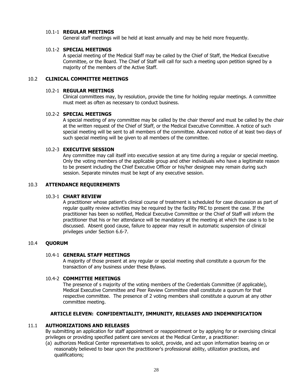#### 10.1-1 **REGULAR MEETINGS**

General staff meetings will be held at least annually and may be held more frequently.

#### 10.1-2 **SPECIAL MEETINGS**

A special meeting of the Medical Staff may be called by the Chief of Staff, the Medical Executive Committee, or the Board. The Chief of Staff will call for such a meeting upon petition signed by a majority of the members of the Active Staff.

# 10.2 **CLINICAL COMMITTEE MEETINGS**

#### 10.2-1 **REGULAR MEETINGS**

Clinical committees may, by resolution, provide the time for holding regular meetings. A committee must meet as often as necessary to conduct business.

#### 10.2-2 **SPECIAL MEETINGS**

A special meeting of any committee may be called by the chair thereof and must be called by the chair at the written request of the Chief of Staff, or the Medical Executive Committee. A notice of such special meeting will be sent to all members of the committee. Advanced notice of at least two days of such special meeting will be given to all members of the committee.

#### 10.2-3 **EXECUTIVE SESSION**

Any committee may call itself into executive session at any time during a regular or special meeting. Only the voting members of the applicable group and other individuals who have a legitimate reason to be present including the Chief Executive Officer or his/her designee may remain during such session. Separate minutes must be kept of any executive session.

# 10.3 **ATTENDANCE REQUIREMENTS**

# 10.3-1 **CHART REVIEW**

A practitioner whose patient's clinical course of treatment is scheduled for case discussion as part of regular quality review activities may be required by the facility PRC to present the case. If the practitioner has been so notified, Medical Executive Committee or the Chief of Staff will inform the practitioner that his or her attendance will be mandatory at the meeting at which the case is to be discussed. Absent good cause, failure to appear may result in automatic suspension of clinical privileges under Section 6.6-7.

# 10.4 **QUORUM**

#### 10.4-1 **GENERAL STAFF MEETINGS**

A majority of those present at any regular or special meeting shall constitute a quorum for the transaction of any business under these Bylaws.

#### 10.4-2 **COMMITTEE MEETINGS**

The presence of s majority of the voting members of the Credentials Committee (if applicable), Medical Executive Committee and Peer Review Committee shall constitute a quorum for that respective committee. The presence of 2 voting members shall constitute a quorum at any other committee meeting.

# **ARTICLE ELEVEN: CONFIDENTIALITY, IMMUNITY, RELEASES AND INDEMNIFICATION**

#### 11.1 **AUTHORIZATIONS AND RELEASES**

By submitting an application for staff appointment or reappointment or by applying for or exercising clinical privileges or providing specified patient care services at the Medical Center, a practitioner:

(a) authorizes Medical Center representatives to solicit, provide, and act upon information bearing on or reasonably believed to bear upon the practitioner's professional ability, utilization practices, and qualifications;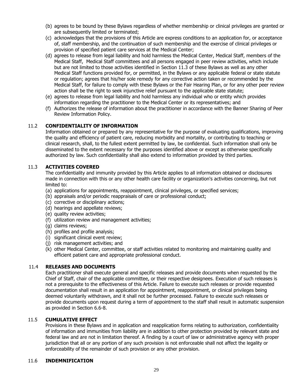- (b) agrees to be bound by these Bylaws regardless of whether membership or clinical privileges are granted or are subsequently limited or terminated;
- (c) acknowledges that the provisions of this Article are express conditions to an application for, or acceptance of, staff membership, and the continuation of such membership and the exercise of clinical privileges or provision of specified patient care services at the Medical Center;
- (d) agrees to release from legal liability and hold harmless the Medical Center, Medical Staff, members of the Medical Staff, Medical Staff committees and all persons engaged in peer review activities, which include but are not limited to those activities identified in Section 11.3 of these Bylaws as well as any other Medical Staff functions provided for, or permitted, in the Bylaws or any applicable federal or state statute or regulation; agrees that his/her sole remedy for any corrective action taken or recommended by the Medical Staff, for failure to comply with these Bylaws or the Fair Hearing Plan, or for any other peer review action shall be the right to seek injunctive relief pursuant to the applicable state statute;
- (e) agrees to release from legal liability and hold harmless any individual who or entity which provides information regarding the practitioner to the Medical Center or its representatives; and
- (f) Authorizes the release of information about the practitioner in accordance with the Banner Sharing of Peer Review Information Policy.

# 11.2 **CONFIDENTIALITY OF INFORMATION**

Information obtained or prepared by any representative for the purpose of evaluating qualifications, improving the quality and efficiency of patient care, reducing morbidity and mortality, or contributing to teaching or clinical research, shall, to the fullest extent permitted by law, be confidential. Such information shall only be disseminated to the extent necessary for the purposes identified above or except as otherwise specifically authorized by law. Such confidentiality shall also extend to information provided by third parties.

# 11.3 **ACTIVITIES COVERED**

The confidentiality and immunity provided by this Article applies to all information obtained or disclosures made in connection with this or any other health care facility or organization's activities concerning, but not limited to:

- (a) applications for appointments, reappointment, clinical privileges, or specified services;
- (b) appraisals and/or periodic reappraisals of care or professional conduct;
- (c) corrective or disciplinary actions;
- (d) hearings and appellate reviews;
- (e) quality review activities;
- (f) utilization review and management activities;
- (g) claims reviews;
- (h) profiles and profile analysis;
- (i) significant clinical event review;
- (j) risk management activities; and
- (k) other Medical Center, committee, or staff activities related to monitoring and maintaining quality and efficient patient care and appropriate professional conduct.

# 11.4 **RELEASES AND DOCUMENTS**

Each practitioner shall execute general and specific releases and provide documents when requested by the Chief of Staff, chair of the applicable committee, or their respective designees. Execution of such releases is not a prerequisite to the effectiveness of this Article. Failure to execute such releases or provide requested documentation shall result in an application for appointment, reappointment, or clinical privileges being deemed voluntarily withdrawn, and it shall not be further processed. Failure to execute such releases or provide documents upon request during a term of appointment to the staff shall result in automatic suspension as provided in Section 6.6-8.

#### 11.5 **CUMULATIVE EFFECT**

Provisions in these Bylaws and in application and reapplication forms relating to authorization, confidentiality of information and immunities from liability are in addition to other protection provided by relevant state and federal law and are not in limitation thereof. A finding by a court of law or administrative agency with proper jurisdiction that all or any portion of any such provision is not enforceable shall not affect the legality or enforceability of the remainder of such provision or any other provision.

# 11.6 **INDEMNIFICATION**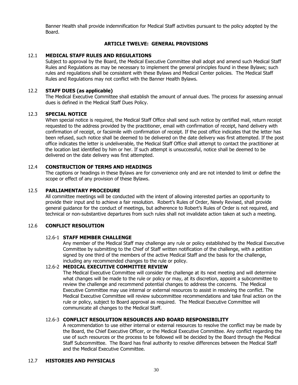Banner Health shall provide indemnification for Medical Staff activities pursuant to the policy adopted by the Board.

#### **ARTICLE TWELVE: GENERAL PROVISIONS**

#### 12.1 **MEDICAL STAFF RULES AND REGULATIONS**

Subject to approval by the Board, the Medical Executive Committee shall adopt and amend such Medical Staff Rules and Regulations as may be necessary to implement the general principles found in these Bylaws; such rules and regulations shall be consistent with these Bylaws and Medical Center policies. The Medical Staff Rules and Regulations may not conflict with the Banner Health Bylaws.

#### 12.2 **STAFF DUES (as applicable)**

The Medical Executive Committee shall establish the amount of annual dues. The process for assessing annual dues is defined in the Medical Staff Dues Policy.

#### 12.3 **SPECIAL NOTICE**

When special notice is required, the Medical Staff Office shall send such notice by certified mail, return receipt requested to the address provided by the practitioner, email with confirmation of receipt, hand delivery with confirmation of receipt, or facsimile with confirmation of receipt. If the post office indicates that the letter has been refused, such notice shall be deemed to be delivered on the date delivery was first attempted. If the post office indicates the letter is undeliverable, the Medical Staff Office shall attempt to contact the practitioner at the location last identified by him or her. If such attempt is unsuccessful, notice shall be deemed to be delivered on the date delivery was first attempted.

# 12.4 **CONSTRUCTION OF TERMS AND HEADINGS**

The captions or headings in these Bylaws are for convenience only and are not intended to limit or define the scope or effect of any provision of these Bylaws.

#### 12.5 **PARLIAMENTARY PROCEDURE**

All committee meetings will be conducted with the intent of allowing interested parties an opportunity to provide their input and to achieve a fair resolution. Robert's Rules of Order, Newly Revised, shall provide general guidance for the conduct of meetings, but adherence to Robert's Rules of Order is not required, and technical or non-substantive departures from such rules shall not invalidate action taken at such a meeting.

#### 12.6 **CONFLICT RESOLUTION**

#### 12.6-1 **STAFF MEMBER CHALLENGE**

Any member of the Medical Staff may challenge any rule or policy established by the Medical Executive Committee by submitting to the Chief of Staff written notification of the challenge, with a petition signed by one third of the members of the active Medical Staff and the basis for the challenge, including any recommended changes to the rule or policy.

# 12.6-2 **MEDICAL EXECUTIVE COMMITTEE REVIEW**

The Medical Executive Committee will consider the challenge at its next meeting and will determine what changes will be made to the rule or policy or may, at its discretion, appoint a subcommittee to review the challenge and recommend potential changes to address the concerns. The Medical Executive Committee may use internal or external resources to assist in resolving the conflict. The Medical Executive Committee will review subcommittee recommendations and take final action on the rule or policy, subject to Board approval as required. The Medical Executive Committee will communicate all changes to the Medical Staff.

#### 12.6-3 **CONFLICT RESOLUTION RESOURCES AND BOARD RESPONSIBILITY**

A recommendation to use either internal or external resources to resolve the conflict may be made by the Board, the Chief Executive Officer, or the Medical Executive Committee. Any conflict regarding the use of such resources or the process to be followed will be decided by the Board through the Medical Staff Subcommittee. The Board has final authority to resolve differences between the Medical Staff and the Medical Executive Committee.

# 12.7 **HISTORIES AND PHYSICALS**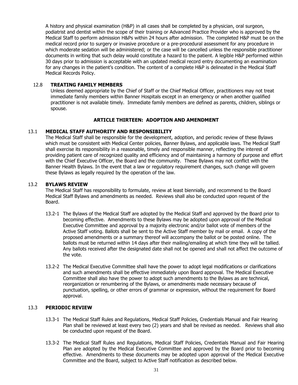A history and physical examination (H&P) in all cases shall be completed by a physician, oral surgeon, podiatrist and dentist within the scope of their training or Advanced Practice Provider who is approved by the Medical Staff to perform admission H&Ps within 24 hours after admission. The completed H&P must be on the medical record prior to surgery or invasive procedure or a pre-procedural assessment for any procedure in which moderate sedation will be administered; or the case will be cancelled unless the responsible practitioner documents in writing that such delay would constitute a hazard to the patient. A legible H&P performed within 30 days prior to admission is acceptable with an updated medical record entry documenting an examination for any changes in the patient's condition. The content of a complete H&P is delineated in the Medical Staff Medical Records Policy.

#### 12.8 **TREATING FAMILY MEMBERS**

Unless deemed appropriate by the Chief of Staff or the Chief Medical Officer, practitioners may not treat immediate family members within Banner Hospitals except in an emergency or when another qualified practitioner is not available timely. Immediate family members are defined as parents, children, siblings or spouse.

#### **ARTICLE THIRTEEN: ADOPTION AND AMENDMENT**

#### 13.1 **MEDICAL STAFF AUTHORITY AND RESPONSIBILITY**

The Medical Staff shall be responsible for the development, adoption, and periodic review of these Bylaws which must be consistent with Medical Center policies, Banner Bylaws, and applicable laws. The Medical Staff shall exercise its responsibility in a reasonable, timely and responsible manner, reflecting the interest of providing patient care of recognized quality and efficiency and of maintaining a harmony of purpose and effort with the Chief Executive Officer, the Board and the community. These Bylaws may not conflict with the Banner Health Bylaws. In the event that a law or regulatory requirement changes, such change will govern these Bylaws as legally required by the operation of the law.

#### 13.2 **BYLAWS REVIEW**

The Medical Staff has responsibility to formulate, review at least biennially, and recommend to the Board Medical Staff Bylaws and amendments as needed. Reviews shall also be conducted upon request of the Board.

- 13.2-1 The Bylaws of the Medical Staff are adopted by the Medical Staff and approved by the Board prior to becoming effective. Amendments to these Bylaws may be adopted upon approval of the Medical Executive Committee and approval by a majority electronic and/or ballot vote of members of the Active Staff voting. Ballots shall be sent to the Active Staff member by mail or email. A copy of the proposed amendments or a summary thereof will accompany the ballot or be posted online. The ballots must be returned within 14 days after their mailing/emailing at which time they will be tallied. Any ballots received after the designated date shall not be opened and shall not affect the outcome of the vote.
- 13.2-2 The Medical Executive Committee shall have the power to adopt legal modifications or clarifications and such amendments shall be effective immediately upon Board approval. The Medical Executive Committee shall also have the power to adopt such amendments to the Bylaws as are technical, reorganization or renumbering of the Bylaws, or amendments made necessary because of punctuation, spelling, or other errors of grammar or expression, without the requirement for Board approval.

# 13.3 **PERIODIC REVIEW**

- 13.3-1 The Medical Staff Rules and Regulations, Medical Staff Policies, Credentials Manual and Fair Hearing Plan shall be reviewed at least every two (2) years and shall be revised as needed. Reviews shall also be conducted upon request of the Board.
- 13.3-2 The Medical Staff Rules and Regulations, Medical Staff Policies, Credentials Manual and Fair Hearing Plan are adopted by the Medical Executive Committee and approved by the Board prior to becoming effective. Amendments to these documents may be adopted upon approval of the Medical Executive Committee and the Board, subject to Active Staff notification as described below.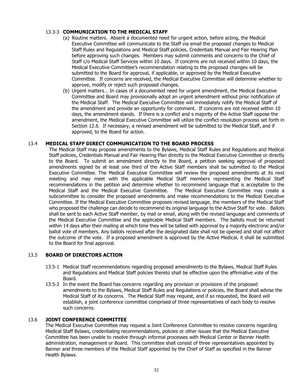# 13.3-3 **COMMUNICATION TO THE MEDICAL STAFF**

- (a) Routine matters. Absent a documented need for urgent action, before acting, the Medical Executive Committee will communicate to the Staff via email the proposed changes to Medical Staff Rules and Regulations and Medical Staff policies, Credentials Manual and Fair Hearing Plan before approving such changes. Members may submit comments and concerns to the Chief of Staff c/o Medical Staff Services within 10 days. If concerns are not received within 10 days, the Medical Executive Committee's recommendation relating to the proposed changes will be submitted to the Board for approval, if applicable, or approved by the Medical Executive Committee. If concerns are received, the Medical Executive Committee will determine whether to approve, modify or reject such proposed changes.
- (b) Urgent matters… In cases of a documented need for urgent amendment, the Medical Executive Committee and Board may provisionally adopt an urgent amendment without prior notification of the Medical Staff. The Medical Executive Committee will immediately notify the Medical Staff of the amendment and provide an opportunity for comment. If concerns are not received within 10 days, the amendment stands. If there is a conflict and s majority of the Active Staff oppose the amendment, the Medical Executive Committee will utilize the conflict resolution process set forth in Section 12.6. If necessary, a revised amendment will be submitted to the Medical Staff, and if approved, to the Board for action.

#### 13.4 **MEDICAL STAFF DIRECT COMMUNICATION TO THE BOARD PROCESS**

The Medical Staff may propose amendments to the Bylaws, Medical Staff Rules and Regulations and Medical Staff policies, Credentials Manual and Fair Hearing Plan directly to the Medical Executive Committee or directly to the Board. To submit an amendment directly to the Board, a petition seeking approval of proposed amendments signed by at least one third of the Active Staff members shall be submitted to the Medical Executive Committee. The Medical Executive Committee will review the proposed amendments at its next meeting and may meet with the applicable Medical Staff members representing the Medical Staff recommendations in the petition and determine whether to recommend language that is acceptable to the Medical Staff and the Medical Executive Committee. The Medical Executive Committee may create a subcommittee to consider the proposed amendments and make recommendations to the Medical Executive Committee. If the Medical Executive Committee proposes revised language, the members of the Medical Staff who proposed the challenge can decide to recommend its original language to the Active Staff for vote. Ballots shall be sent to each Active Staff member, by mail or email, along with the revised language and comments of the Medical Executive Committee and the applicable Medical Staff members. The ballots must be returned within 14 days after their mailing at which time they will be tallied with approval by a majority electronic and/or ballot vote of members. Any ballots received after the designated date shall not be opened and shall not affect the outcome of the vote. If a proposed amendment is approved by the Active Medical, it shall be submitted to the Board for final approval.

# 13.5 **BOARD OF DIRECTORS ACTION**

- 13.5-1 Medical Staff recommendations regarding proposed amendments to the Bylaws, Medical Staff Rules and Regulations and Medical Staff policies thereto shall be effective upon the affirmative vote of the Board.
- 13.5-2 In the event the Board has concerns regarding any provision or provisions of the proposed amendments to the Bylaws, Medical Staff Rules and Regulations or policies, the Board shall advise the Medical Staff of its concerns. The Medical Staff may request, and if so requested, the Board will establish, a joint conference committee comprised of three representatives of each body to resolve such concerns.

#### 13.6 **JOINT CONFERENCE COMMITTEE**

The Medical Executive Committee may request a Joint Conference Committee to resolve concerns regarding Medical Staff Bylaws, credentialing recommendations, policies or other issues that the Medical Executive Committee has been unable to resolve through informal processes with Medical Center or Banner Health administration, management or Board. This committee shall consist of three representatives appointed by Banner and three members of the Medical Staff appointed by the Chief of Staff as specified in the Banner Health Bylaws.